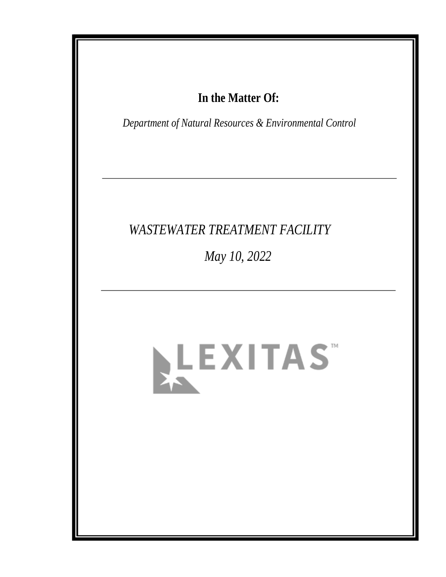# In the Matter Of:

Department of Natural Resources & Environmental Control

# **WASTEWATER TREATMENT FACILITY**

May 10, 2022

# LEXITAS"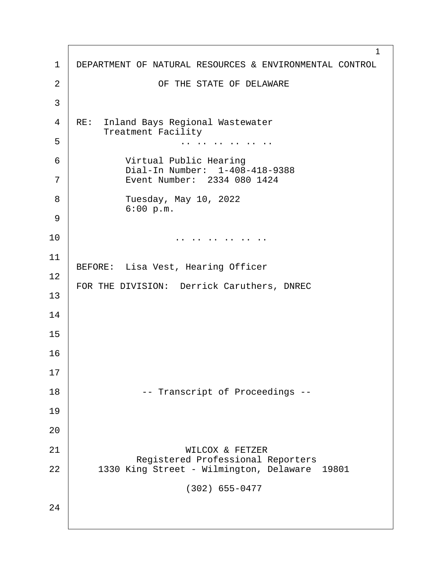1 1 | DEPARTMENT OF NATURAL RESOURCES & ENVIRONMENTAL CONTROL 2 | CF THE STATE OF DELAWARE ·3 4 | RE: Inland Bays Regional Wastewater Treatment Facility  $5 \mid$   $\cdots$   $\cdots$   $\cdots$   $\cdots$   $\cdots$   $\cdots$ 6 Virtual Public Hearing <sup>1</sup> 1-408-418-9388<br>The vent Number: 2334 080 1424 Event Number: 2334 080 1424 8 | Tuesday, May 10, 2022  $6:00 p.m.$ ·9 10· · · · · · · · · · ·.. .. .. .. .. .. 11 BEFORE: Lisa Vest, Hearing Officer 12 FOR THE DIVISION: Derrick Caruthers, DNREC 13 14 15 16 17 18· · · · · · · ·-- Transcript of Proceedings -- 19 20 21 | WILCOX & FETZER Registered Professional Reporters |<br>22 1330 King Street - Wilmington, Delaware 1330 King Street - Wilmington, Delaware 19801  $(302)$  655-0477 24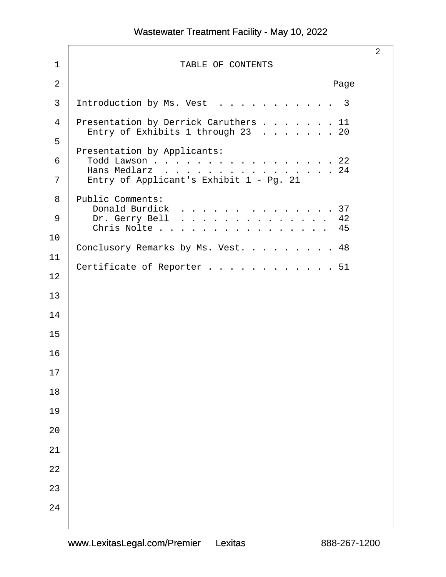2 1 | TABLE OF CONTENTS  $\begin{array}{ccc} 2 & \end{array}$  . Page  $3$  Introduction by Ms. Vest . . . . . . . . . . 3 4 Presentation by Derrick Caruthers . . . . . . 11 Entry of Exhibits 1 through 23 . . . . . . 20 ·5 Presentation by Applicants: 6 | Todd Lawson . . . . . . . . . . . . . . . . 22 Hans Medlarz . . . . . . . . . . . . . . . 24<br>7 Entry of Applicant's Exhibit 1 - Pg. 21 Entry of Applicant's Exhibit 1 - Pg. 21 8 | Public Comments: Donald Burdick . . . . . . . . . . . . . 37 9 Dr. Gerry Bell............... 42 Chris Nolte . . . . . . . . . . . . . . . 45 10 Conclusory Remarks by Ms. Vest. . . . . . . . 48 11 Certificate of Reporter . . . . . . . . . . . 51 12 13 14 15 16 17 18 19 20 21 22 23 24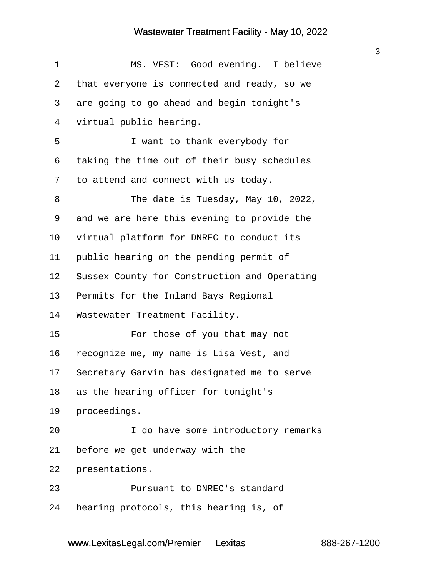<span id="page-3-0"></span>

| $\mathbf 1$ | MS. VEST: Good evening. I believe            |
|-------------|----------------------------------------------|
| 2           | that everyone is connected and ready, so we  |
| 3           | are going to go ahead and begin tonight's    |
| 4           | virtual public hearing.                      |
| 5           | I want to thank everybody for                |
| 6           | taking the time out of their busy schedules  |
| 7           | to attend and connect with us today.         |
| 8           | The date is Tuesday, May 10, 2022,           |
| 9           | and we are here this evening to provide the  |
| 10          | virtual platform for DNREC to conduct its    |
| 11          | public hearing on the pending permit of      |
| 12          | Sussex County for Construction and Operating |
| 13          | Permits for the Inland Bays Regional         |
| 14          | Wastewater Treatment Facility.               |
| 15          | For those of you that may not                |
| 16          | recognize me, my name is Lisa Vest, and      |
| 17          | Secretary Garvin has designated me to serve  |
| 18          | as the hearing officer for tonight's         |
| 19          | proceedings.                                 |
| 20          | I do have some introductory remarks          |
| 21          | before we get underway with the              |
| 22          | presentations.                               |
| 23          | Pursuant to DNREC's standard                 |
| 24          | hearing protocols, this hearing is, of       |
|             |                                              |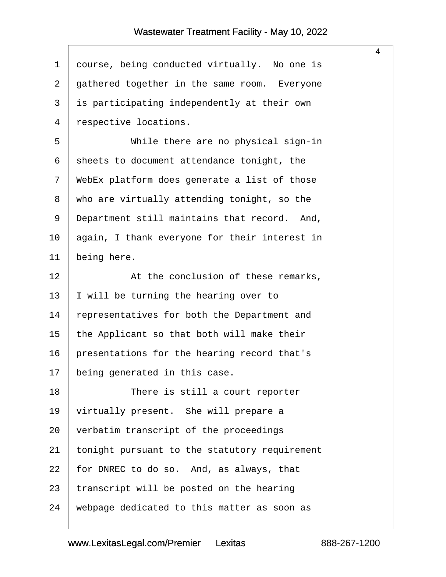$\mathsf{I}$ 

<span id="page-4-0"></span>

| $\mathbf{1}$   | course, being conducted virtually. No one is  |
|----------------|-----------------------------------------------|
| $\overline{2}$ | gathered together in the same room. Everyone  |
| 3              | is participating independently at their own   |
| $\overline{4}$ | respective locations.                         |
| 5              | While there are no physical sign-in           |
| 6              | sheets to document attendance tonight, the    |
| 7              | WebEx platform does generate a list of those  |
| 8              | who are virtually attending tonight, so the   |
| 9              | Department still maintains that record. And,  |
| 10             | again, I thank everyone for their interest in |
| 11             | being here.                                   |
| 12             | At the conclusion of these remarks,           |
| 13             | I will be turning the hearing over to         |
| 14             | representatives for both the Department and   |
| 15             | the Applicant so that both will make their    |
| 16             | presentations for the hearing record that's   |
| 17             | being generated in this case.                 |
| 18             | There is still a court reporter               |
| 19             | virtually present. She will prepare a         |
| 20             | verbatim transcript of the proceedings        |
| 21             | tonight pursuant to the statutory requirement |
| 22             | for DNREC to do so. And, as always, that      |
| 23             | transcript will be posted on the hearing      |
| 24             | webpage dedicated to this matter as soon as   |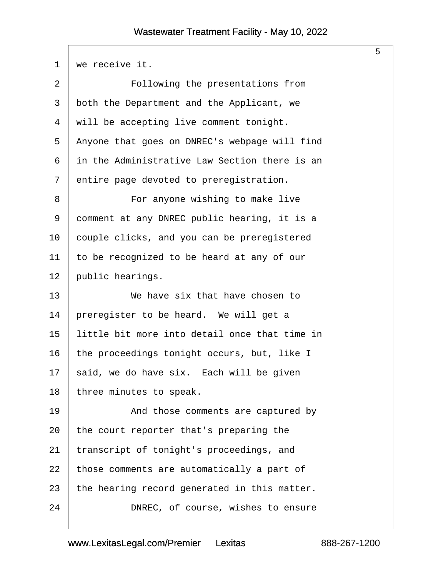<span id="page-5-0"></span>

| 1              | we receive it.                                |
|----------------|-----------------------------------------------|
| $\overline{2}$ | Following the presentations from              |
| 3              | both the Department and the Applicant, we     |
| 4              | will be accepting live comment tonight.       |
| 5              | Anyone that goes on DNREC's webpage will find |
| 6              | in the Administrative Law Section there is an |
| 7              | entire page devoted to preregistration.       |
| 8              | For anyone wishing to make live               |
| 9              | comment at any DNREC public hearing, it is a  |
| 10             | couple clicks, and you can be preregistered   |
| 11             | to be recognized to be heard at any of our    |
| 12             | public hearings.                              |
| 13             | We have six that have chosen to               |
| 14             | preregister to be heard. We will get a        |
| 15             | little bit more into detail once that time in |
| 16             | the proceedings tonight occurs, but, like I   |
| 17             | said, we do have six. Each will be given      |
| 18             | three minutes to speak.                       |
| 19             | And those comments are captured by            |
| 20             | the court reporter that's preparing the       |
| 21             | transcript of tonight's proceedings, and      |
| 22             | those comments are automatically a part of    |
| 23             | the hearing record generated in this matter.  |
| 24             | DNREC, of course, wishes to ensure            |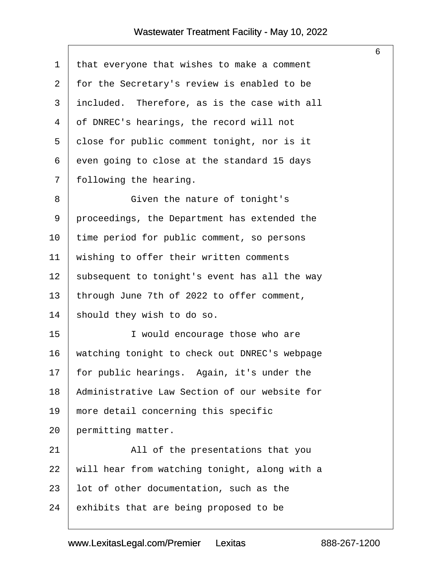$\sqrt{ }$ 

<span id="page-6-0"></span>

| 1  | that everyone that wishes to make a comment   |
|----|-----------------------------------------------|
| 2  | for the Secretary's review is enabled to be   |
| 3  | included. Therefore, as is the case with all  |
| 4  | of DNREC's hearings, the record will not      |
| 5  | close for public comment tonight, nor is it   |
| 6  | even going to close at the standard 15 days   |
| 7  | following the hearing.                        |
| 8  | Given the nature of tonight's                 |
| 9  | proceedings, the Department has extended the  |
| 10 | time period for public comment, so persons    |
| 11 | wishing to offer their written comments       |
| 12 | subsequent to tonight's event has all the way |
| 13 | through June 7th of 2022 to offer comment,    |
| 14 | should they wish to do so.                    |
| 15 | I would encourage those who are               |
| 16 | watching tonight to check out DNREC's webpage |
| 17 | for public hearings. Again, it's under the    |
| 18 | Administrative Law Section of our website for |
| 19 | more detail concerning this specific          |
| 20 | permitting matter.                            |
| 21 | All of the presentations that you             |
| 22 | will hear from watching tonight, along with a |
| 23 | lot of other documentation, such as the       |
| 24 | exhibits that are being proposed to be        |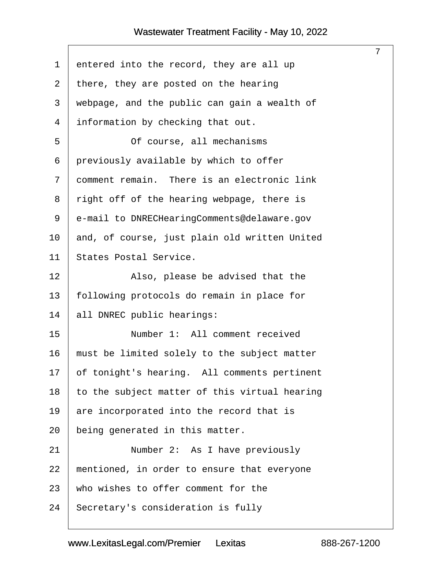<span id="page-7-0"></span>

| $\mathbf 1$ | entered into the record, they are all up      |
|-------------|-----------------------------------------------|
| 2           | there, they are posted on the hearing         |
| 3           | webpage, and the public can gain a wealth of  |
| 4           | information by checking that out.             |
| 5           | Of course, all mechanisms                     |
| 6           | previously available by which to offer        |
| 7           | comment remain. There is an electronic link   |
| 8           | right off of the hearing webpage, there is    |
| 9           | e-mail to DNRECHearingComments@delaware.gov   |
| 10          | and, of course, just plain old written United |
| 11          | States Postal Service.                        |
| 12          | Also, please be advised that the              |
| 13          | following protocols do remain in place for    |
| 14          | all DNREC public hearings:                    |
| 15          | Number 1: All comment received                |
| 16          | must be limited solely to the subject matter  |
| 17          | of tonight's hearing. All comments pertinent  |
| 18          | to the subject matter of this virtual hearing |
| 19          | are incorporated into the record that is      |
| 20          | being generated in this matter.               |
| 21          | Number 2: As I have previously                |
| 22          | mentioned, in order to ensure that everyone   |
| 23          | who wishes to offer comment for the           |
| 24          | Secretary's consideration is fully            |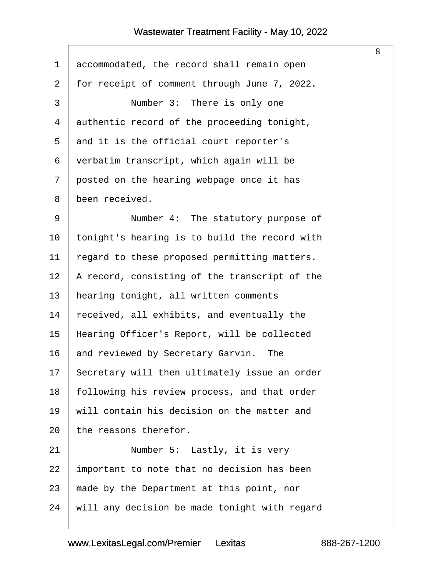$\sqrt{2}$ 

<span id="page-8-0"></span>

| $\mathbf 1$    | accommodated, the record shall remain open    |
|----------------|-----------------------------------------------|
| $\overline{a}$ | for receipt of comment through June 7, 2022.  |
| $\mathfrak{Z}$ | Number 3: There is only one                   |
| $\overline{4}$ | authentic record of the proceeding tonight,   |
| 5              | and it is the official court reporter's       |
| 6              | verbatim transcript, which again will be      |
| 7              | posted on the hearing webpage once it has     |
| 8              | been received.                                |
| 9              | Number 4: The statutory purpose of            |
| 10             | tonight's hearing is to build the record with |
| 11             | regard to these proposed permitting matters.  |
| 12             | A record, consisting of the transcript of the |
| 13             | hearing tonight, all written comments         |
| 14             | received, all exhibits, and eventually the    |
| 15             | Hearing Officer's Report, will be collected   |
| 16             | and reviewed by Secretary Garvin. The         |
| 17             | Secretary will then ultimately issue an order |
| 18             | following his review process, and that order  |
| 19             | will contain his decision on the matter and   |
| 20             | the reasons therefor.                         |
| 21             | Number 5: Lastly, it is very                  |
| 22             | important to note that no decision has been   |
| 23             | made by the Department at this point, nor     |
| 24             | will any decision be made tonight with regard |
|                |                                               |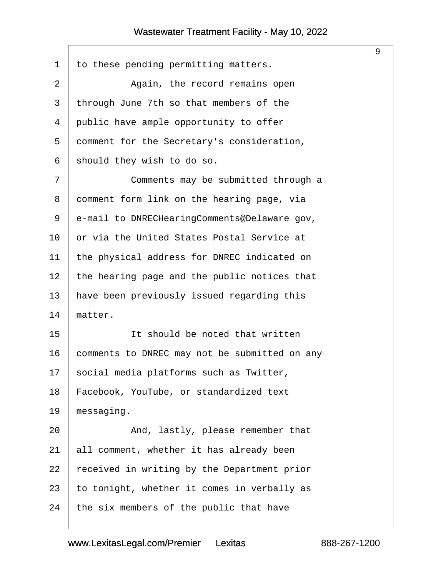<span id="page-9-0"></span>

| to these pending permitting matters.          |
|-----------------------------------------------|
| Again, the record remains open                |
| through June 7th so that members of the       |
| public have ample opportunity to offer        |
| comment for the Secretary's consideration,    |
| should they wish to do so.                    |
| Comments may be submitted through a           |
| comment form link on the hearing page, via    |
| e-mail to DNRECHearingComments@Delaware gov,  |
| or via the United States Postal Service at    |
| the physical address for DNREC indicated on   |
| the hearing page and the public notices that  |
| have been previously issued regarding this    |
| matter.                                       |
| It should be noted that written               |
| comments to DNREC may not be submitted on any |
| social media platforms such as Twitter,       |
| Facebook, YouTube, or standardized text       |
| messaging.                                    |
| And, lastly, please remember that             |
| all comment, whether it has already been      |
| received in writing by the Department prior   |
| to tonight, whether it comes in verbally as   |
| the six members of the public that have       |
|                                               |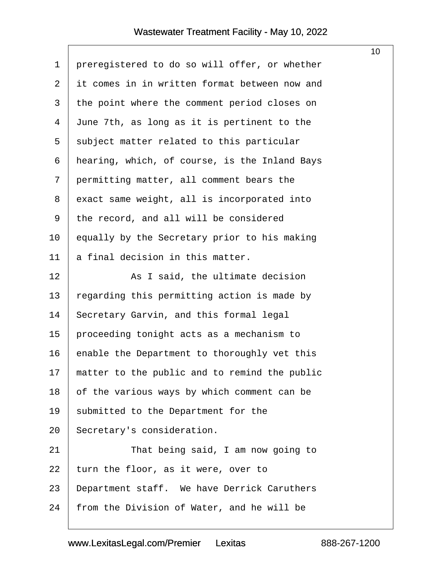$\sqrt{ }$ 

<span id="page-10-0"></span>

|                                               | 10 <sup>°</sup> |
|-----------------------------------------------|-----------------|
| preregistered to do so will offer, or whether |                 |
| it comes in in written format between now and |                 |
| the point where the comment period closes on  |                 |
| June 7th, as long as it is pertinent to the   |                 |
| subject matter related to this particular     |                 |
| hearing, which, of course, is the Inland Bays |                 |
| permitting matter, all comment bears the      |                 |
| exact same weight, all is incorporated into   |                 |
| the record, and all will be considered        |                 |
| equally by the Secretary prior to his making  |                 |
| a final decision in this matter.              |                 |
| As I said, the ultimate decision              |                 |
| regarding this permitting action is made by   |                 |
| Secretary Garvin, and this formal legal       |                 |
| proceeding tonight acts as a mechanism to     |                 |
| enable the Department to thoroughly vet this  |                 |
| matter to the public and to remind the public |                 |
| of the various ways by which comment can be   |                 |
| submitted to the Department for the           |                 |
| Secretary's consideration.                    |                 |
| That being said, I am now going to            |                 |
| turn the floor, as it were, over to           |                 |
| Department staff. We have Derrick Caruthers   |                 |
| from the Division of Water, and he will be    |                 |
|                                               |                 |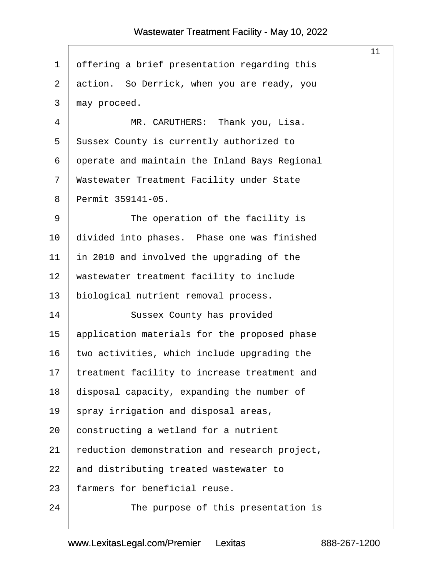$\sqrt{ }$ 

<span id="page-11-0"></span>

|                |                                               | 11 |
|----------------|-----------------------------------------------|----|
| $\mathbf 1$    | offering a brief presentation regarding this  |    |
| $\overline{2}$ | action. So Derrick, when you are ready, you   |    |
| 3              | may proceed.                                  |    |
| 4              | MR. CARUTHERS: Thank you, Lisa.               |    |
| 5              | Sussex County is currently authorized to      |    |
| 6              | operate and maintain the Inland Bays Regional |    |
| 7              | Wastewater Treatment Facility under State     |    |
| 8              | Permit 359141-05.                             |    |
| 9              | The operation of the facility is              |    |
| 10             | divided into phases. Phase one was finished   |    |
| 11             | in 2010 and involved the upgrading of the     |    |
| 12             | wastewater treatment facility to include      |    |
| 13             | biological nutrient removal process.          |    |
| 14             | Sussex County has provided                    |    |
| 15             | application materials for the proposed phase  |    |
| 16             | two activities, which include upgrading the   |    |
| 17             | treatment facility to increase treatment and  |    |
| 18             | disposal capacity, expanding the number of    |    |
| 19             | spray irrigation and disposal areas,          |    |
| 20             | constructing a wetland for a nutrient         |    |
| 21             | reduction demonstration and research project, |    |
| 22             | and distributing treated wastewater to        |    |
| 23             | farmers for beneficial reuse.                 |    |
| 24             | The purpose of this presentation is           |    |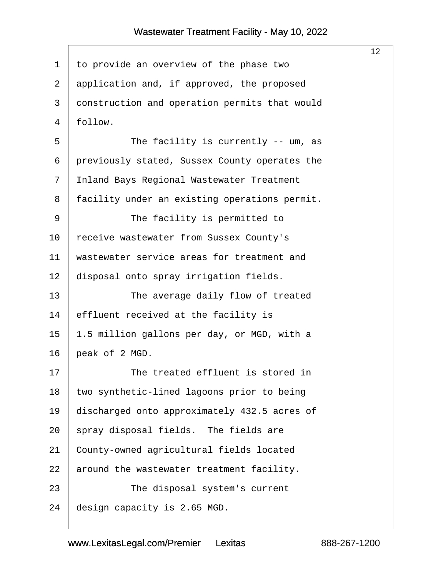<span id="page-12-0"></span>

|                |                                               | 12 <sup>°</sup> |
|----------------|-----------------------------------------------|-----------------|
| $\mathbf 1$    | to provide an overview of the phase two       |                 |
| 2              | application and, if approved, the proposed    |                 |
| 3              | construction and operation permits that would |                 |
| $\overline{4}$ | follow.                                       |                 |
| 5              | The facility is currently $--$ um, as         |                 |
| 6              | previously stated, Sussex County operates the |                 |
| 7              | Inland Bays Regional Wastewater Treatment     |                 |
| 8              | facility under an existing operations permit. |                 |
| 9              | The facility is permitted to                  |                 |
| 10             | receive wastewater from Sussex County's       |                 |
| 11             | wastewater service areas for treatment and    |                 |
| 12             | disposal onto spray irrigation fields.        |                 |
| 13             | The average daily flow of treated             |                 |
| 14             | effluent received at the facility is          |                 |
| 15             | 1.5 million gallons per day, or MGD, with a   |                 |
| 16             | peak of 2 MGD.                                |                 |
| 17             | The treated effluent is stored in             |                 |
| 18             | two synthetic-lined lagoons prior to being    |                 |
| 19             | discharged onto approximately 432.5 acres of  |                 |
| 20             | spray disposal fields. The fields are         |                 |
| 21             | County-owned agricultural fields located      |                 |
| 22             | around the wastewater treatment facility.     |                 |
| 23             | The disposal system's current                 |                 |
| 24             | design capacity is 2.65 MGD.                  |                 |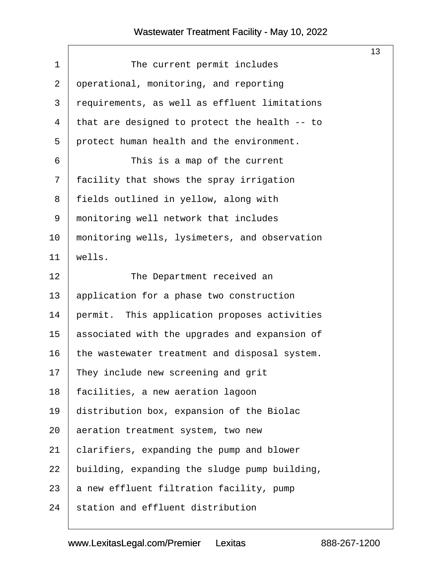<span id="page-13-0"></span>

|             |                                               | 13 |
|-------------|-----------------------------------------------|----|
| $\mathbf 1$ | The current permit includes                   |    |
| 2           | operational, monitoring, and reporting        |    |
| 3           | requirements, as well as effluent limitations |    |
| 4           | that are designed to protect the health -- to |    |
| 5           | protect human health and the environment.     |    |
| 6           | This is a map of the current                  |    |
| 7           | facility that shows the spray irrigation      |    |
| 8           | fields outlined in yellow, along with         |    |
| 9           | monitoring well network that includes         |    |
| 10          | monitoring wells, lysimeters, and observation |    |
| 11          | wells.                                        |    |
| 12          | The Department received an                    |    |
| 13          | application for a phase two construction      |    |
| 14          | permit. This application proposes activities  |    |
| 15          | associated with the upgrades and expansion of |    |
| 16          | the wastewater treatment and disposal system. |    |
| 17          | They include new screening and grit           |    |
| 18          | facilities, a new aeration lagoon             |    |
| 19          | distribution box, expansion of the Biolac     |    |
| 20          | aeration treatment system, two new            |    |
| 21          | clarifiers, expanding the pump and blower     |    |
| 22          | building, expanding the sludge pump building, |    |
| 23          | a new effluent filtration facility, pump      |    |
| 24          | station and effluent distribution             |    |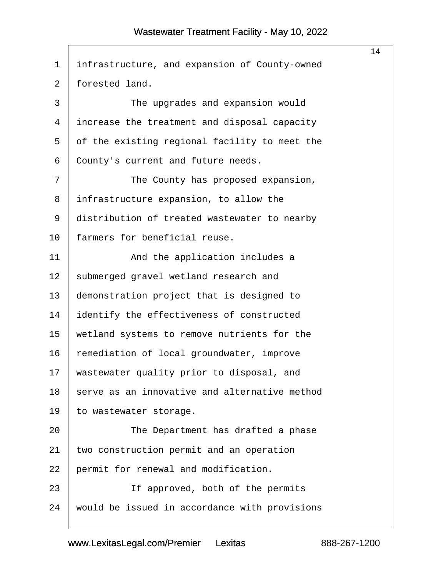<span id="page-14-0"></span>

|                |                                               | 14 |
|----------------|-----------------------------------------------|----|
| $\mathbf 1$    | infrastructure, and expansion of County-owned |    |
| $\overline{2}$ | forested land.                                |    |
| 3              | The upgrades and expansion would              |    |
| 4              | increase the treatment and disposal capacity  |    |
| 5              | of the existing regional facility to meet the |    |
| 6              | County's current and future needs.            |    |
| 7              | The County has proposed expansion,            |    |
| 8              | infrastructure expansion, to allow the        |    |
| 9              | distribution of treated wastewater to nearby  |    |
| 10             | farmers for beneficial reuse.                 |    |
| 11             | And the application includes a                |    |
| 12             | submerged gravel wetland research and         |    |
| 13             | demonstration project that is designed to     |    |
| 14             | identify the effectiveness of constructed     |    |
| 15             | wetland systems to remove nutrients for the   |    |
| 16             | remediation of local groundwater, improve     |    |
| 17             | wastewater quality prior to disposal, and     |    |
| 18             | serve as an innovative and alternative method |    |
| 19             | to wastewater storage.                        |    |
| 20             | The Department has drafted a phase            |    |
| 21             | two construction permit and an operation      |    |
| 22             | permit for renewal and modification.          |    |
| 23             | If approved, both of the permits              |    |
| 24             | would be issued in accordance with provisions |    |
|                |                                               |    |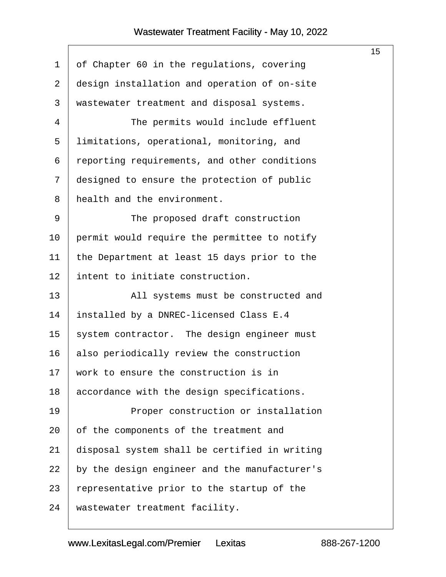<span id="page-15-0"></span>

|                |                                               | 15 <sub>15</sub> |
|----------------|-----------------------------------------------|------------------|
| $\mathbf 1$    | of Chapter 60 in the regulations, covering    |                  |
| $\overline{2}$ | design installation and operation of on-site  |                  |
| 3              | wastewater treatment and disposal systems.    |                  |
| 4              | The permits would include effluent            |                  |
| 5              | limitations, operational, monitoring, and     |                  |
| 6              | reporting requirements, and other conditions  |                  |
| 7              | designed to ensure the protection of public   |                  |
| 8              | health and the environment.                   |                  |
| 9              | The proposed draft construction               |                  |
| 10             | permit would require the permittee to notify  |                  |
| 11             | the Department at least 15 days prior to the  |                  |
| 12             | intent to initiate construction.              |                  |
| 13             | All systems must be constructed and           |                  |
| 14             | installed by a DNREC-licensed Class E.4       |                  |
| 15             | system contractor. The design engineer must   |                  |
| 16             | also periodically review the construction     |                  |
| 17             | work to ensure the construction is in         |                  |
| 18             | accordance with the design specifications.    |                  |
| 19             | Proper construction or installation           |                  |
| 20             | of the components of the treatment and        |                  |
| 21             | disposal system shall be certified in writing |                  |
| 22             | by the design engineer and the manufacturer's |                  |
| 23             | representative prior to the startup of the    |                  |
| 24             | wastewater treatment facility.                |                  |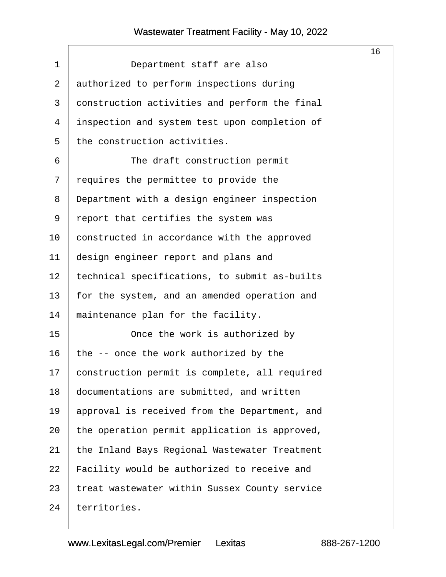<span id="page-16-0"></span>

|         |                                               | 16 |
|---------|-----------------------------------------------|----|
| 1       | Department staff are also                     |    |
| 2       | authorized to perform inspections during      |    |
| 3       | construction activities and perform the final |    |
| 4       | inspection and system test upon completion of |    |
| 5       | the construction activities.                  |    |
| 6       | The draft construction permit                 |    |
| 7       | requires the permittee to provide the         |    |
| 8       | Department with a design engineer inspection  |    |
| 9       | report that certifies the system was          |    |
| $10 \,$ | constructed in accordance with the approved   |    |
| 11      | design engineer report and plans and          |    |
| 12      | technical specifications, to submit as-builts |    |
| 13      | for the system, and an amended operation and  |    |
| 14      | maintenance plan for the facility.            |    |
| 15      | Once the work is authorized by                |    |
| 16      | the -- once the work authorized by the        |    |
| 17      | construction permit is complete, all required |    |
| 18      | documentations are submitted, and written     |    |
| 19      | approval is received from the Department, and |    |
| 20      | the operation permit application is approved, |    |
| 21      | the Inland Bays Regional Wastewater Treatment |    |
| 22      | Facility would be authorized to receive and   |    |
| 23      | treat wastewater within Sussex County service |    |
| 24      | territories.                                  |    |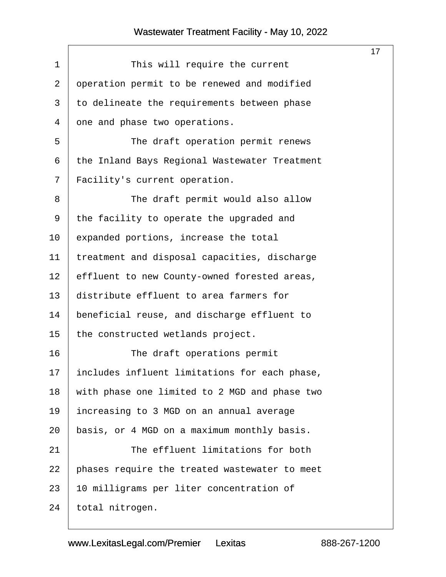<span id="page-17-0"></span>

|             |                                               | 17 <sup>2</sup> |
|-------------|-----------------------------------------------|-----------------|
| $\mathbf 1$ | This will require the current                 |                 |
| 2           | operation permit to be renewed and modified   |                 |
| 3           | to delineate the requirements between phase   |                 |
| 4           | one and phase two operations.                 |                 |
| 5           | The draft operation permit renews             |                 |
| 6           | the Inland Bays Regional Wastewater Treatment |                 |
| 7           | Facility's current operation.                 |                 |
| 8           | The draft permit would also allow             |                 |
| 9           | the facility to operate the upgraded and      |                 |
| 10          | expanded portions, increase the total         |                 |
| 11          | treatment and disposal capacities, discharge  |                 |
| 12          | effluent to new County-owned forested areas,  |                 |
| 13          | distribute effluent to area farmers for       |                 |
| 14          | beneficial reuse, and discharge effluent to   |                 |
| 15          | the constructed wetlands project.             |                 |
| 16          | The draft operations permit                   |                 |
| 17          | includes influent limitations for each phase, |                 |
| 18          | with phase one limited to 2 MGD and phase two |                 |
| 19          | increasing to 3 MGD on an annual average      |                 |
| 20          | basis, or 4 MGD on a maximum monthly basis.   |                 |
| 21          | The effluent limitations for both             |                 |
| 22          | phases require the treated wastewater to meet |                 |
| 23          | 10 milligrams per liter concentration of      |                 |
| 24          | total nitrogen.                               |                 |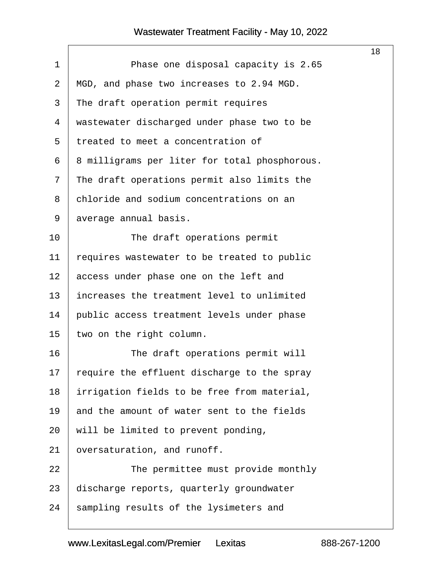$\Gamma$ 

<span id="page-18-0"></span>

|                |                                               | 18 |
|----------------|-----------------------------------------------|----|
| 1              | Phase one disposal capacity is 2.65           |    |
| $\overline{2}$ | MGD, and phase two increases to 2.94 MGD.     |    |
| 3              | The draft operation permit requires           |    |
| 4              | wastewater discharged under phase two to be   |    |
| 5              | treated to meet a concentration of            |    |
| 6              | 8 milligrams per liter for total phosphorous. |    |
| 7              | The draft operations permit also limits the   |    |
| 8              | chloride and sodium concentrations on an      |    |
| 9              | average annual basis.                         |    |
| 10             | The draft operations permit                   |    |
| 11             | requires wastewater to be treated to public   |    |
| 12             | access under phase one on the left and        |    |
| 13             | increases the treatment level to unlimited    |    |
| 14             | public access treatment levels under phase    |    |
| 15             | two on the right column.                      |    |
| 16             | The draft operations permit will              |    |
| 17             | require the effluent discharge to the spray   |    |
| 18             | irrigation fields to be free from material,   |    |
| 19             | and the amount of water sent to the fields    |    |
| 20             | will be limited to prevent ponding,           |    |
| 21             | oversaturation, and runoff.                   |    |
| 22             | The permittee must provide monthly            |    |
| 23             | discharge reports, quarterly groundwater      |    |
| 24             | sampling results of the lysimeters and        |    |
|                |                                               |    |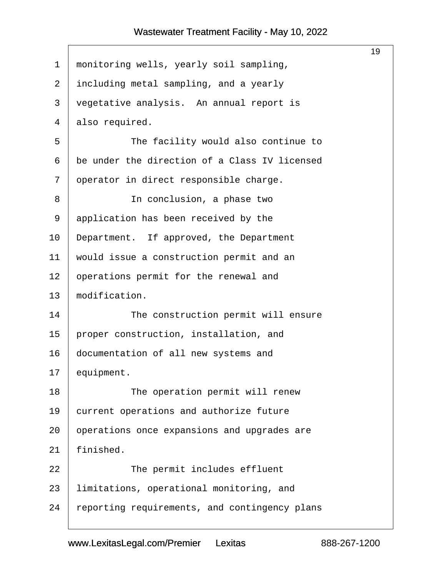<span id="page-19-0"></span>

|              |                                               | 19 |
|--------------|-----------------------------------------------|----|
| $\mathbf{1}$ | monitoring wells, yearly soil sampling,       |    |
| 2            | including metal sampling, and a yearly        |    |
| 3            | vegetative analysis. An annual report is      |    |
| 4            | also required.                                |    |
| 5            | The facility would also continue to           |    |
| 6            | be under the direction of a Class IV licensed |    |
| 7            | operator in direct responsible charge.        |    |
| 8            | In conclusion, a phase two                    |    |
| 9            | application has been received by the          |    |
| 10           | Department. If approved, the Department       |    |
| 11           | would issue a construction permit and an      |    |
| 12           | operations permit for the renewal and         |    |
| 13           | modification.                                 |    |
| 14           | The construction permit will ensure           |    |
| 15           | proper construction, installation, and        |    |
| 16           | documentation of all new systems and          |    |
| 17           | equipment.                                    |    |
| 18           | The operation permit will renew               |    |
| 19           | current operations and authorize future       |    |
| 20           | operations once expansions and upgrades are   |    |
| 21           | finished.                                     |    |
| 22           | The permit includes effluent                  |    |
| 23           | limitations, operational monitoring, and      |    |
| 24           | reporting requirements, and contingency plans |    |
|              |                                               |    |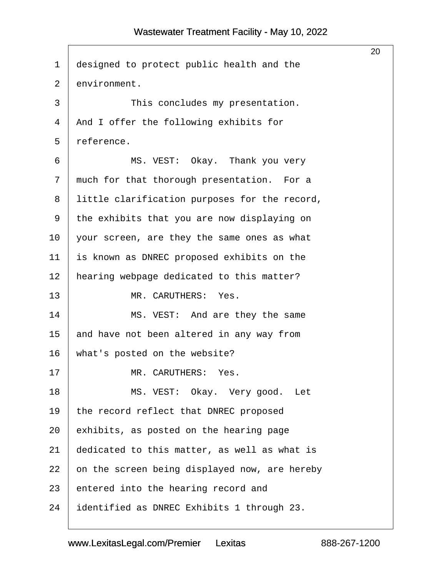<span id="page-20-0"></span>

|             |                                               | 20 |
|-------------|-----------------------------------------------|----|
| $\mathbf 1$ | designed to protect public health and the     |    |
| 2           | environment.                                  |    |
| 3           | This concludes my presentation.               |    |
| 4           | And I offer the following exhibits for        |    |
| 5           | reference.                                    |    |
| 6           | MS. VEST: Okay. Thank you very                |    |
| 7           | much for that thorough presentation. For a    |    |
| 8           | little clarification purposes for the record, |    |
| 9           | the exhibits that you are now displaying on   |    |
| 10          | your screen, are they the same ones as what   |    |
| 11          | is known as DNREC proposed exhibits on the    |    |
| 12          | hearing webpage dedicated to this matter?     |    |
| 13          | MR. CARUTHERS: Yes.                           |    |
| 14          | MS. VEST: And are they the same               |    |
| 15          | and have not been altered in any way from     |    |
| 16          | what's posted on the website?                 |    |
| 17          | MR. CARUTHERS: Yes.                           |    |
| 18          | MS. VEST: Okay. Very good. Let                |    |
| 19          | the record reflect that DNREC proposed        |    |
| 20          | exhibits, as posted on the hearing page       |    |
| 21          | dedicated to this matter, as well as what is  |    |
| 22          | on the screen being displayed now, are hereby |    |
| 23          | entered into the hearing record and           |    |
| 24          | identified as DNREC Exhibits 1 through 23.    |    |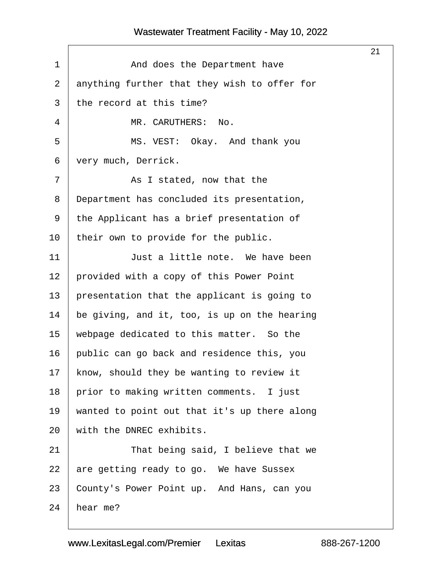$\Gamma$ 

<span id="page-21-0"></span>

|                |                                              | 21 |
|----------------|----------------------------------------------|----|
| $\mathbf 1$    | And does the Department have                 |    |
| $\overline{2}$ | anything further that they wish to offer for |    |
| 3              | the record at this time?                     |    |
| 4              | MR. CARUTHERS:<br>No.                        |    |
| 5              | MS. VEST: Okay. And thank you                |    |
| 6              | very much, Derrick.                          |    |
| 7              | As I stated, now that the                    |    |
| 8              | Department has concluded its presentation,   |    |
| 9              | the Applicant has a brief presentation of    |    |
| 10             | their own to provide for the public.         |    |
| 11             | Just a little note. We have been             |    |
| 12             | provided with a copy of this Power Point     |    |
| 13             | presentation that the applicant is going to  |    |
| 14             | be giving, and it, too, is up on the hearing |    |
| 15             | webpage dedicated to this matter. So the     |    |
| 16             | public can go back and residence this, you   |    |
| 17             | know, should they be wanting to review it    |    |
| 18             | prior to making written comments. I just     |    |
| 19             | wanted to point out that it's up there along |    |
| 20             | with the DNREC exhibits.                     |    |
| 21             | That being said, I believe that we           |    |
| 22             | are getting ready to go. We have Sussex      |    |
| 23             | County's Power Point up. And Hans, can you   |    |
| 24             | hear me?                                     |    |
|                |                                              |    |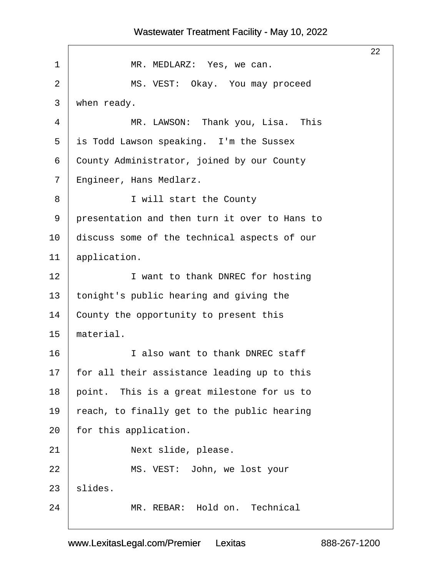# <span id="page-22-0"></span>22 1 | MR. MEDLARZ: Yes, we can. 2 | MS. VEST: Okay. You may proceed  $3$  when ready. 4 | MR. LAWSON: Thank you, Lisa. This 5 is Todd Lawson speaking. I'm the Sussex 6 County Administrator, joined by our County 7 | Engineer, Hans Medlarz. 8 | I will start the County 9 | presentation and then turn it over to Hans to  $10$   $|$  discuss some of the technical aspects of our  $11$  application. 12 | I want to thank DNREC for hosting 13 | tonight's public hearing and giving the 14 County the opportunity to present this  $15$  material. 16 I also want to thank DNREC staff  $17$  | for all their assistance leading up to this 18 | point. This is a great milestone for us to 19  $\vert$  reach, to finally get to the public hearing  $20$  | for this application. 21 | **Next slide, please.** 22 | MS. VEST: John, we lost your  $23$  slides.

www.LexitasLegal.com/Premier Lexitas

24 | MR. REBAR: Hold on. Technical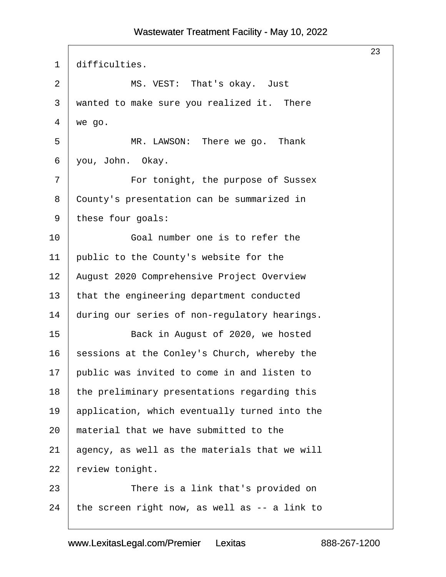<span id="page-23-0"></span>

|                |                                               | 23 |
|----------------|-----------------------------------------------|----|
| 1              | difficulties.                                 |    |
| $\overline{2}$ | MS. VEST: That's okay. Just                   |    |
| 3              | wanted to make sure you realized it. There    |    |
| 4              | we go.                                        |    |
| 5              | MR. LAWSON: There we go. Thank                |    |
| 6              | you, John. Okay.                              |    |
| 7              | For tonight, the purpose of Sussex            |    |
| 8              | County's presentation can be summarized in    |    |
| 9              | these four goals:                             |    |
| 10             | Goal number one is to refer the               |    |
| 11             | public to the County's website for the        |    |
| 12             | August 2020 Comprehensive Project Overview    |    |
| 13             | that the engineering department conducted     |    |
| 14             | during our series of non-regulatory hearings. |    |
| 15             | Back in August of 2020, we hosted             |    |
| 16             | sessions at the Conley's Church, whereby the  |    |
| 17             | public was invited to come in and listen to   |    |
| 18             | the preliminary presentations regarding this  |    |
| 19             | application, which eventually turned into the |    |
| 20             | material that we have submitted to the        |    |
| 21             | agency, as well as the materials that we will |    |
| 22             | review tonight.                               |    |
| 23             | There is a link that's provided on            |    |
| 24             | the screen right now, as well as -- a link to |    |
|                |                                               |    |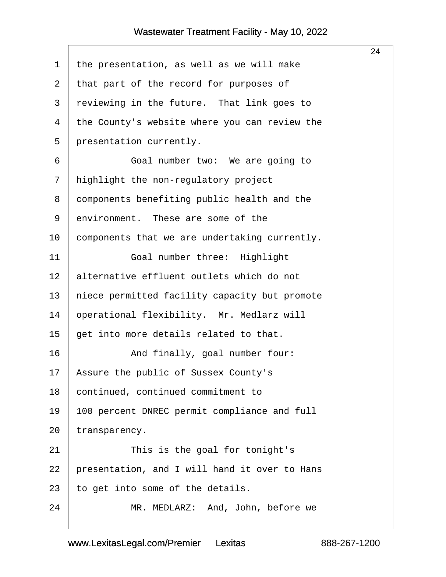<span id="page-24-0"></span>

|    |                                               | 24 |
|----|-----------------------------------------------|----|
| 1  | the presentation, as well as we will make     |    |
| 2  | that part of the record for purposes of       |    |
| 3  | reviewing in the future. That link goes to    |    |
| 4  | the County's website where you can review the |    |
| 5  | presentation currently.                       |    |
| 6  | Goal number two: We are going to              |    |
| 7  | highlight the non-regulatory project          |    |
| 8  | components benefiting public health and the   |    |
| 9  | environment. These are some of the            |    |
| 10 | components that we are undertaking currently. |    |
| 11 | Goal number three: Highlight                  |    |
| 12 | alternative effluent outlets which do not     |    |
| 13 | niece permitted facility capacity but promote |    |
| 14 | operational flexibility. Mr. Medlarz will     |    |
| 15 | get into more details related to that.        |    |
| 16 | And finally, goal number four:                |    |
| 17 | Assure the public of Sussex County's          |    |
| 18 | continued, continued commitment to            |    |
| 19 | 100 percent DNREC permit compliance and full  |    |
| 20 | transparency.                                 |    |
| 21 | This is the goal for tonight's                |    |
| 22 | presentation, and I will hand it over to Hans |    |
| 23 | to get into some of the details.              |    |
| 24 | MR. MEDLARZ: And, John, before we             |    |
|    |                                               |    |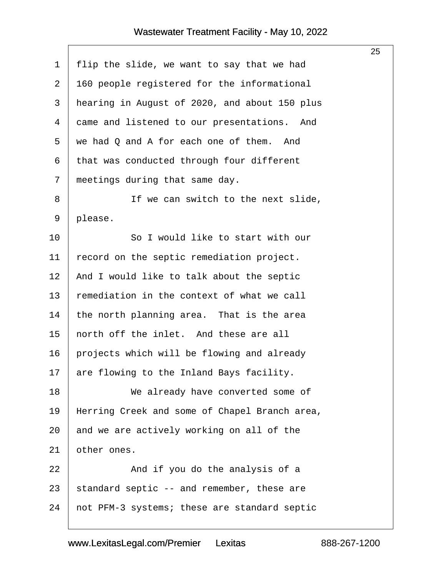<span id="page-25-0"></span>

|    |                                               | 25 |
|----|-----------------------------------------------|----|
| 1  | flip the slide, we want to say that we had    |    |
| 2  | 160 people registered for the informational   |    |
| 3  | hearing in August of 2020, and about 150 plus |    |
| 4  | came and listened to our presentations. And   |    |
| 5  | we had Q and A for each one of them.<br>And   |    |
| 6  | that was conducted through four different     |    |
| 7  | meetings during that same day.                |    |
| 8  | If we can switch to the next slide,           |    |
| 9  | please.                                       |    |
| 10 | So I would like to start with our             |    |
| 11 | record on the septic remediation project.     |    |
| 12 | And I would like to talk about the septic     |    |
| 13 | remediation in the context of what we call    |    |
| 14 | the north planning area. That is the area     |    |
| 15 | north off the inlet. And these are all        |    |
| 16 | projects which will be flowing and already    |    |
| 17 | are flowing to the Inland Bays facility.      |    |
| 18 | We already have converted some of             |    |
| 19 | Herring Creek and some of Chapel Branch area, |    |
| 20 | and we are actively working on all of the     |    |
| 21 | other ones.                                   |    |
| 22 | And if you do the analysis of a               |    |
| 23 | standard septic -- and remember, these are    |    |
| 24 | not PFM-3 systems; these are standard septic  |    |
|    |                                               |    |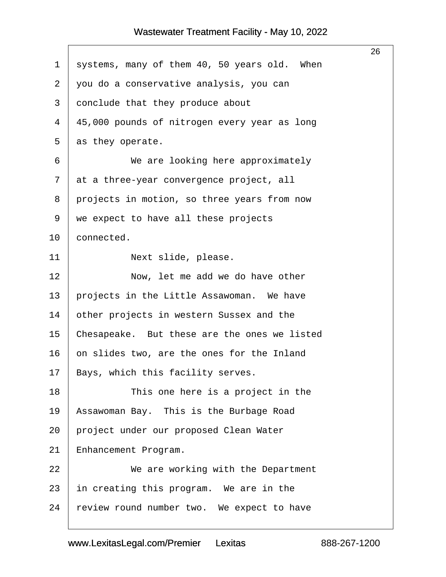$\Gamma$ 

<span id="page-26-0"></span>

|             |                                              | 26 |
|-------------|----------------------------------------------|----|
| $\mathbf 1$ | systems, many of them 40, 50 years old. When |    |
| 2           | you do a conservative analysis, you can      |    |
| 3           | conclude that they produce about             |    |
| 4           | 45,000 pounds of nitrogen every year as long |    |
| 5           | as they operate.                             |    |
| 6           | We are looking here approximately            |    |
| 7           | at a three-year convergence project, all     |    |
| 8           | projects in motion, so three years from now  |    |
| 9           | we expect to have all these projects         |    |
| 10          | connected.                                   |    |
| 11          | Next slide, please.                          |    |
| 12          | Now, let me add we do have other             |    |
| 13          | projects in the Little Assawoman. We have    |    |
| 14          | other projects in western Sussex and the     |    |
| 15          | Chesapeake. But these are the ones we listed |    |
| 16          | on slides two, are the ones for the Inland   |    |
| 17          | Bays, which this facility serves.            |    |
| 18          | This one here is a project in the            |    |
| 19          | Assawoman Bay. This is the Burbage Road      |    |
| 20          | project under our proposed Clean Water       |    |
| 21          | Enhancement Program.                         |    |
| 22          | We are working with the Department           |    |
| 23          | in creating this program. We are in the      |    |
| 24          | review round number two. We expect to have   |    |
|             |                                              |    |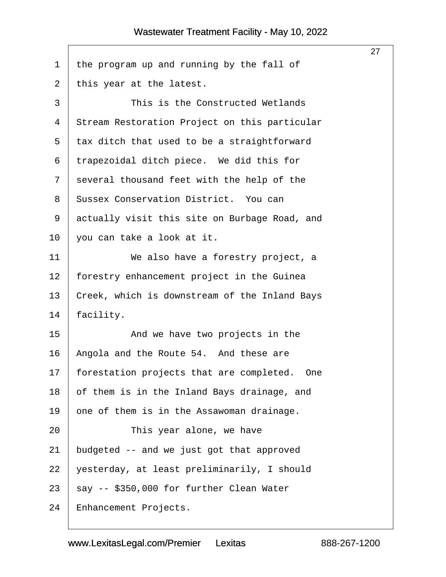<span id="page-27-0"></span>

|                |                                               | 27 |
|----------------|-----------------------------------------------|----|
| $\mathbf 1$    | the program up and running by the fall of     |    |
| $\overline{2}$ | this year at the latest.                      |    |
| 3              | This is the Constructed Wetlands              |    |
| $\overline{4}$ | Stream Restoration Project on this particular |    |
| 5              | tax ditch that used to be a straightforward   |    |
| 6              | trapezoidal ditch piece. We did this for      |    |
| 7              | several thousand feet with the help of the    |    |
| 8              | Sussex Conservation District. You can         |    |
| 9              | actually visit this site on Burbage Road, and |    |
| 10             | you can take a look at it.                    |    |
| 11             | We also have a forestry project, a            |    |
| 12             | forestry enhancement project in the Guinea    |    |
| 13             | Creek, which is downstream of the Inland Bays |    |
| 14             | facility.                                     |    |
| 15             | And we have two projects in the               |    |
| 16             | Angola and the Route 54. And these are        |    |
| 17             | forestation projects that are completed. One  |    |
| 18             | of them is in the Inland Bays drainage, and   |    |
| 19             | one of them is in the Assawoman drainage.     |    |
| 20             | This year alone, we have                      |    |
| 21             | budgeted -- and we just got that approved     |    |
| 22             | yesterday, at least preliminarily, I should   |    |
| 23             | say -- \$350,000 for further Clean Water      |    |
| 24             | Enhancement Projects.                         |    |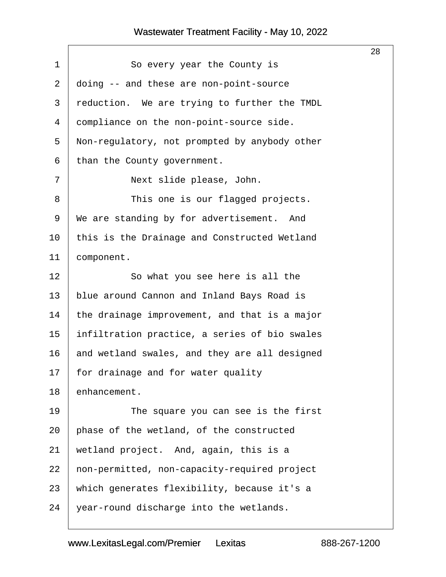$\Gamma$ 

<span id="page-28-0"></span>

|                |                                               | 28 |
|----------------|-----------------------------------------------|----|
| 1              | So every year the County is                   |    |
| $\overline{2}$ | doing -- and these are non-point-source       |    |
| 3              | reduction. We are trying to further the TMDL  |    |
| 4              | compliance on the non-point-source side.      |    |
| 5              | Non-regulatory, not prompted by anybody other |    |
| 6              | than the County government.                   |    |
| 7              | Next slide please, John.                      |    |
| 8              | This one is our flagged projects.             |    |
| 9              | We are standing by for advertisement. And     |    |
| 10             | this is the Drainage and Constructed Wetland  |    |
| 11             | component.                                    |    |
| 12             | So what you see here is all the               |    |
| 13             | blue around Cannon and Inland Bays Road is    |    |
| 14             | the drainage improvement, and that is a major |    |
| 15             | infiltration practice, a series of bio swales |    |
| 16             | and wetland swales, and they are all designed |    |
| 17             | for drainage and for water quality            |    |
| 18             | enhancement.                                  |    |
| 19             | The square you can see is the first           |    |
| 20             | phase of the wetland, of the constructed      |    |
| 21             | wetland project. And, again, this is a        |    |
| 22             | non-permitted, non-capacity-required project  |    |
| 23             | which generates flexibility, because it's a   |    |
| 24             | year-round discharge into the wetlands.       |    |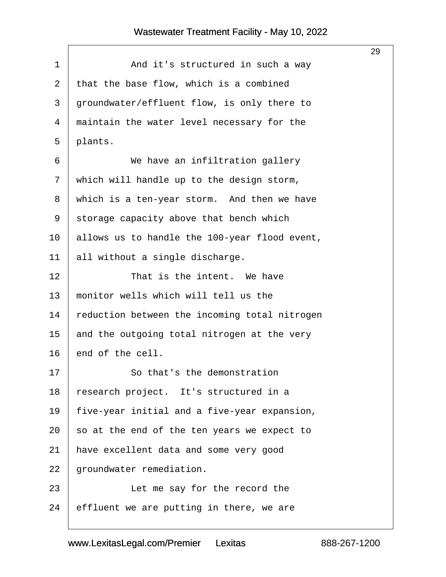$\sqrt{2}$ 

<span id="page-29-0"></span>

|                                               | 29 |
|-----------------------------------------------|----|
| And it's structured in such a way             |    |
| that the base flow, which is a combined       |    |
| groundwater/effluent flow, is only there to   |    |
| maintain the water level necessary for the    |    |
| plants.                                       |    |
| We have an infiltration gallery               |    |
| which will handle up to the design storm,     |    |
| which is a ten-year storm. And then we have   |    |
| storage capacity above that bench which       |    |
| allows us to handle the 100-year flood event, |    |
| all without a single discharge.               |    |
| That is the intent. We have                   |    |
| monitor wells which will tell us the          |    |
| reduction between the incoming total nitrogen |    |
| and the outgoing total nitrogen at the very   |    |
| end of the cell.                              |    |
| So that's the demonstration                   |    |
| research project. It's structured in a        |    |
| five-year initial and a five-year expansion,  |    |
| so at the end of the ten years we expect to   |    |
| have excellent data and some very good        |    |
| groundwater remediation.                      |    |
| Let me say for the record the                 |    |
| effluent we are putting in there, we are      |    |
|                                               |    |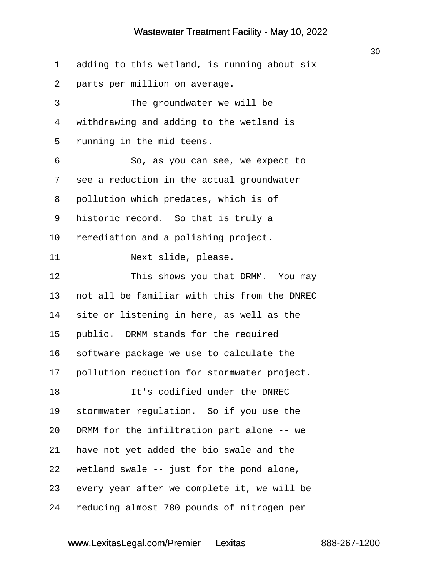<span id="page-30-0"></span>

|    |                                              | 30 |
|----|----------------------------------------------|----|
| 1  | adding to this wetland, is running about six |    |
| 2  | parts per million on average.                |    |
| 3  | The groundwater we will be                   |    |
| 4  | withdrawing and adding to the wetland is     |    |
| 5  | running in the mid teens.                    |    |
| 6  | So, as you can see, we expect to             |    |
| 7  | see a reduction in the actual groundwater    |    |
| 8  | pollution which predates, which is of        |    |
| 9  | historic record. So that is truly a          |    |
| 10 | remediation and a polishing project.         |    |
| 11 | Next slide, please.                          |    |
| 12 | This shows you that DRMM. You may            |    |
| 13 | not all be familiar with this from the DNREC |    |
| 14 | site or listening in here, as well as the    |    |
| 15 | public. DRMM stands for the required         |    |
| 16 | software package we use to calculate the     |    |
| 17 | pollution reduction for stormwater project.  |    |
| 18 | It's codified under the DNREC                |    |
| 19 | stormwater regulation. So if you use the     |    |
| 20 | DRMM for the infiltration part alone -- we   |    |
| 21 | have not yet added the bio swale and the     |    |
| 22 | wetland swale -- just for the pond alone,    |    |
| 23 | every year after we complete it, we will be  |    |
| 24 | reducing almost 780 pounds of nitrogen per   |    |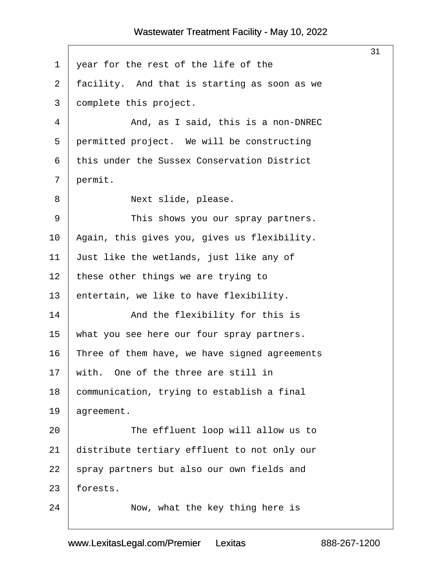<span id="page-31-0"></span>

|                |                                               | 31 |
|----------------|-----------------------------------------------|----|
| $\mathbf 1$    | year for the rest of the life of the          |    |
| $\overline{2}$ | facility. And that is starting as soon as we  |    |
| 3              | complete this project.                        |    |
| 4              | And, as I said, this is a non-DNREC           |    |
| 5              | permitted project. We will be constructing    |    |
| 6              | this under the Sussex Conservation District   |    |
| 7              | permit.                                       |    |
| 8              | Next slide, please.                           |    |
| 9              | This shows you our spray partners.            |    |
| 10             | Again, this gives you, gives us flexibility.  |    |
| 11             | Just like the wetlands, just like any of      |    |
| 12             | these other things we are trying to           |    |
| 13             | entertain, we like to have flexibility.       |    |
| 14             | And the flexibility for this is               |    |
| 15             | what you see here our four spray partners.    |    |
| 16             | Three of them have, we have signed agreements |    |
| 17             | with. One of the three are still in           |    |
| 18             | communication, trying to establish a final    |    |
| 19             | agreement.                                    |    |
| 20             | The effluent loop will allow us to            |    |
| 21             | distribute tertiary effluent to not only our  |    |
| 22             | spray partners but also our own fields and    |    |
| 23             | forests.                                      |    |
| 24             | Now, what the key thing here is               |    |
|                |                                               |    |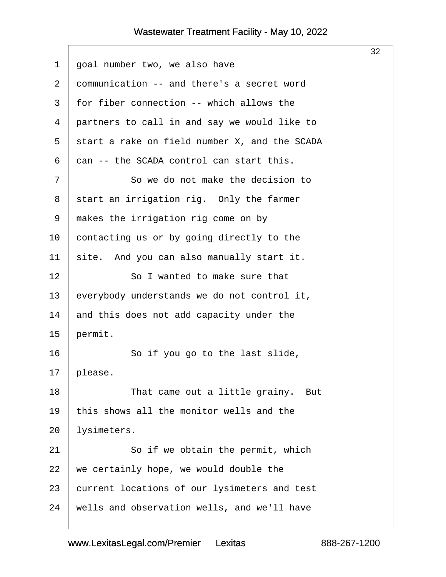<span id="page-32-0"></span>

|    |                                               | 32 |
|----|-----------------------------------------------|----|
| 1  | goal number two, we also have                 |    |
| 2  | communication -- and there's a secret word    |    |
| 3  | for fiber connection -- which allows the      |    |
| 4  | partners to call in and say we would like to  |    |
| 5  | start a rake on field number X, and the SCADA |    |
| 6  | can -- the SCADA control can start this.      |    |
| 7  | So we do not make the decision to             |    |
| 8  | start an irrigation rig. Only the farmer      |    |
| 9  | makes the irrigation rig come on by           |    |
| 10 | contacting us or by going directly to the     |    |
| 11 | site. And you can also manually start it.     |    |
| 12 | So I wanted to make sure that                 |    |
| 13 | everybody understands we do not control it,   |    |
| 14 | and this does not add capacity under the      |    |
| 15 | permit.                                       |    |
| 16 | So if you go to the last slide,               |    |
| 17 | please.                                       |    |
| 18 | That came out a little grainy. But            |    |
| 19 | this shows all the monitor wells and the      |    |
| 20 | lysimeters.                                   |    |
| 21 | So if we obtain the permit, which             |    |
| 22 | we certainly hope, we would double the        |    |
| 23 | current locations of our lysimeters and test  |    |
| 24 | wells and observation wells, and we'll have   |    |
|    |                                               |    |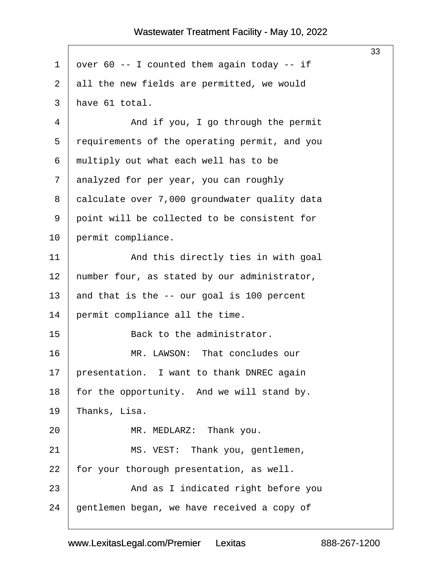<span id="page-33-0"></span>

|                |                                               | 33 |
|----------------|-----------------------------------------------|----|
| 1              | over 60 -- I counted them again today -- if   |    |
| $\overline{2}$ | all the new fields are permitted, we would    |    |
| 3              | have 61 total.                                |    |
| 4              | And if you, I go through the permit           |    |
| 5              | requirements of the operating permit, and you |    |
| 6              | multiply out what each well has to be         |    |
| 7              | analyzed for per year, you can roughly        |    |
| 8              | calculate over 7,000 groundwater quality data |    |
| 9              | point will be collected to be consistent for  |    |
| 10             | permit compliance.                            |    |
| 11             | And this directly ties in with goal           |    |
| 12             | number four, as stated by our administrator,  |    |
| 13             | and that is the -- our goal is 100 percent    |    |
| 14             | permit compliance all the time.               |    |
| 15             | Back to the administrator.                    |    |
| 16             | MR. LAWSON: That concludes our                |    |
| 17             | presentation. I want to thank DNREC again     |    |
| 18             | for the opportunity. And we will stand by.    |    |
| 19             | Thanks, Lisa.                                 |    |
| 20             | MR. MEDLARZ: Thank you.                       |    |
| 21             | MS. VEST: Thank you, gentlemen,               |    |
| 22             | for your thorough presentation, as well.      |    |
| 23             | And as I indicated right before you           |    |
| 24             | gentlemen began, we have received a copy of   |    |
|                |                                               |    |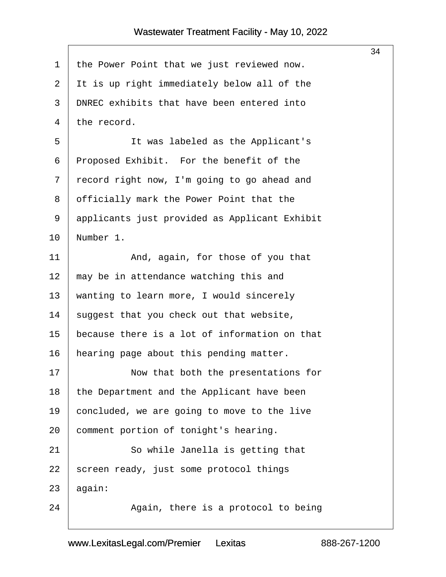<span id="page-34-0"></span>

|             |                                               | 34 |
|-------------|-----------------------------------------------|----|
| $\mathbf 1$ | the Power Point that we just reviewed now.    |    |
| 2           | It is up right immediately below all of the   |    |
| 3           | DNREC exhibits that have been entered into    |    |
| 4           | the record.                                   |    |
| 5           | It was labeled as the Applicant's             |    |
| 6           | Proposed Exhibit. For the benefit of the      |    |
| 7           | record right now, I'm going to go ahead and   |    |
| 8           | officially mark the Power Point that the      |    |
| 9           | applicants just provided as Applicant Exhibit |    |
| 10          | Number 1.                                     |    |
| 11          | And, again, for those of you that             |    |
| 12          | may be in attendance watching this and        |    |
| 13          | wanting to learn more, I would sincerely      |    |
| 14          | suggest that you check out that website,      |    |
| 15          | because there is a lot of information on that |    |
| 16          | hearing page about this pending matter.       |    |
| 17          | Now that both the presentations for           |    |
| 18          | the Department and the Applicant have been    |    |
| 19          | concluded, we are going to move to the live   |    |
| 20          | comment portion of tonight's hearing.         |    |
| 21          | So while Janella is getting that              |    |
| 22          | screen ready, just some protocol things       |    |
| 23          | again:                                        |    |
| 24          | Again, there is a protocol to being           |    |
|             |                                               |    |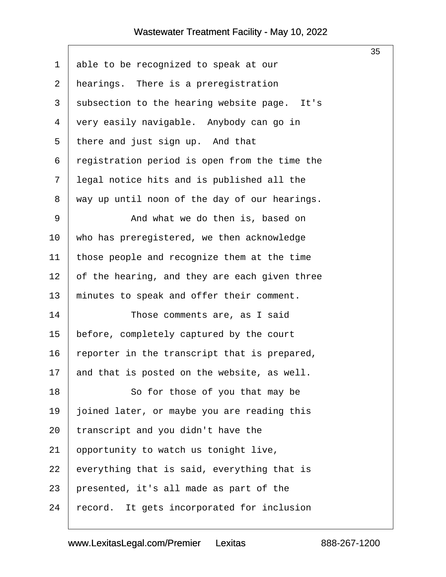$\sqrt{ }$ 

<span id="page-35-0"></span>

| $\mathbf 1$    | able to be recognized to speak at our         |
|----------------|-----------------------------------------------|
| $\overline{2}$ | hearings. There is a preregistration          |
| 3              | subsection to the hearing website page. It's  |
| 4              | very easily navigable. Anybody can go in      |
| 5              | there and just sign up. And that              |
| 6              | registration period is open from the time the |
| 7              | legal notice hits and is published all the    |
| 8              | way up until noon of the day of our hearings. |
| $\mathsf 9$    | And what we do then is, based on              |
| 10             | who has preregistered, we then acknowledge    |
| 11             | those people and recognize them at the time   |
| 12             | of the hearing, and they are each given three |
| 13             | minutes to speak and offer their comment.     |
| 14             | Those comments are, as I said                 |
| 15             | before, completely captured by the court      |
| 16             | reporter in the transcript that is prepared,  |
| 17             | and that is posted on the website, as well.   |
| 18             | So for those of you that may be               |
| 19             | joined later, or maybe you are reading this   |
| 20             | transcript and you didn't have the            |
| 21             | opportunity to watch us tonight live,         |
| 22             | everything that is said, everything that is   |
| 23             | presented, it's all made as part of the       |
| 24             | record. It gets incorporated for inclusion    |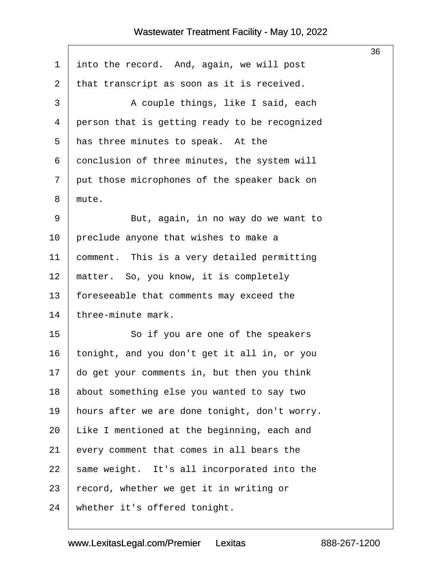<span id="page-36-0"></span>

|              |                                               | 36 |
|--------------|-----------------------------------------------|----|
| $\mathbf{1}$ | into the record. And, again, we will post     |    |
| 2            | that transcript as soon as it is received.    |    |
| 3            | A couple things, like I said, each            |    |
| 4            | person that is getting ready to be recognized |    |
| 5            | has three minutes to speak. At the            |    |
| 6            | conclusion of three minutes, the system will  |    |
| 7            | put those microphones of the speaker back on  |    |
| 8            | mute.                                         |    |
| 9            | But, again, in no way do we want to           |    |
| 10           | preclude anyone that wishes to make a         |    |
| 11           | comment. This is a very detailed permitting   |    |
| 12           | matter. So, you know, it is completely        |    |
| 13           | foreseeable that comments may exceed the      |    |
| 14           | three-minute mark.                            |    |
| 15           | So if you are one of the speakers             |    |
| 16           | tonight, and you don't get it all in, or you  |    |
| 17           | do get your comments in, but then you think   |    |
| 18           | about something else you wanted to say two    |    |
| 19           | hours after we are done tonight, don't worry. |    |
| 20           | Like I mentioned at the beginning, each and   |    |
| 21           | every comment that comes in all bears the     |    |
| 22           | same weight. It's all incorporated into the   |    |
| 23           | record, whether we get it in writing or       |    |
| 24           | whether it's offered tonight.                 |    |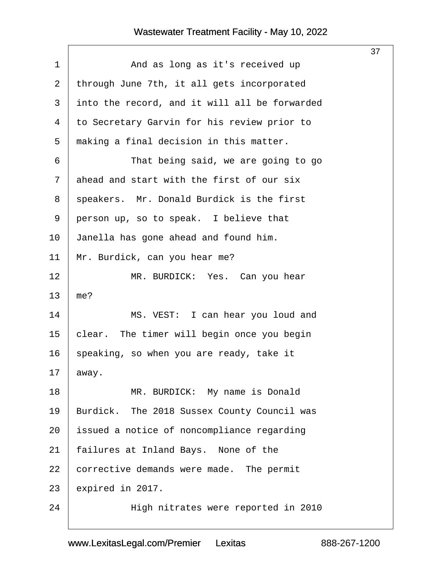<span id="page-37-0"></span>

|             |                                               | 37 |
|-------------|-----------------------------------------------|----|
| $\mathbf 1$ | And as long as it's received up               |    |
| 2           | through June 7th, it all gets incorporated    |    |
| 3           | into the record, and it will all be forwarded |    |
| 4           | to Secretary Garvin for his review prior to   |    |
| 5           | making a final decision in this matter.       |    |
| 6           | That being said, we are going to go           |    |
| 7           | ahead and start with the first of our six     |    |
| 8           | speakers. Mr. Donald Burdick is the first     |    |
| 9           | person up, so to speak. I believe that        |    |
| 10          | Janella has gone ahead and found him.         |    |
| 11          | Mr. Burdick, can you hear me?                 |    |
| 12          | MR. BURDICK: Yes. Can you hear                |    |
| 13          | me?                                           |    |
| 14          | MS. VEST: I can hear you loud and             |    |
| 15          | clear. The timer will begin once you begin    |    |
| 16          | speaking, so when you are ready, take it      |    |
| 17          | away.                                         |    |
| 18          | MR. BURDICK: My name is Donald                |    |
| 19          | Burdick. The 2018 Sussex County Council was   |    |
| 20          | issued a notice of noncompliance regarding    |    |
| 21          | failures at Inland Bays. None of the          |    |
| 22          | corrective demands were made. The permit      |    |
| 23          | expired in 2017.                              |    |
| 24          | High nitrates were reported in 2010           |    |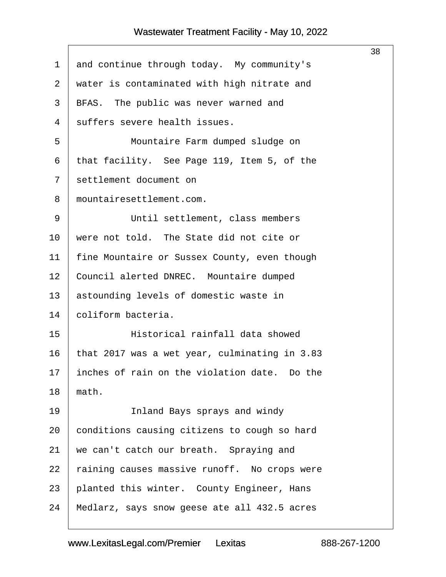$\Gamma$ 

<span id="page-38-0"></span>

|             |                                               | 38 |
|-------------|-----------------------------------------------|----|
| $\mathbf 1$ | and continue through today. My community's    |    |
| 2           | water is contaminated with high nitrate and   |    |
| 3           | BFAS. The public was never warned and         |    |
| 4           | suffers severe health issues.                 |    |
| 5           | Mountaire Farm dumped sludge on               |    |
| 6           | that facility. See Page 119, Item 5, of the   |    |
| 7           | settlement document on                        |    |
| 8           | mountairesettlement.com.                      |    |
| 9           | Until settlement, class members               |    |
| 10          | were not told. The State did not cite or      |    |
| 11          | fine Mountaire or Sussex County, even though  |    |
| 12          | Council alerted DNREC. Mountaire dumped       |    |
| 13          | astounding levels of domestic waste in        |    |
| 14          | coliform bacteria.                            |    |
| 15          | Historical rainfall data showed               |    |
| 16          | that 2017 was a wet year, culminating in 3.83 |    |
| 17          | inches of rain on the violation date. Do the  |    |
| 18          | math.                                         |    |
| 19          | Inland Bays sprays and windy                  |    |
| 20          | conditions causing citizens to cough so hard  |    |
| 21          | we can't catch our breath. Spraying and       |    |
| 22          | raining causes massive runoff. No crops were  |    |
| 23          | planted this winter. County Engineer, Hans    |    |
| 24          | Medlarz, says snow geese ate all 432.5 acres  |    |
|             |                                               |    |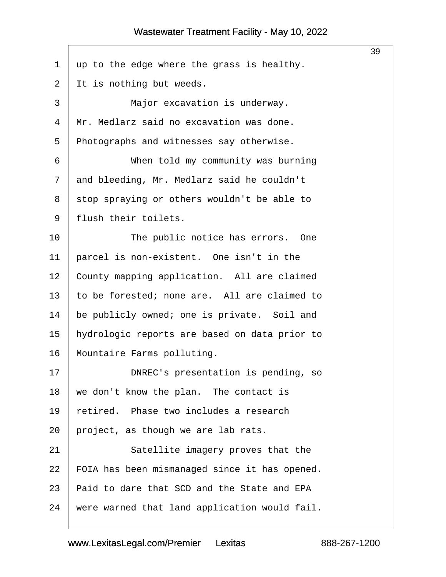<span id="page-39-0"></span>

|                |                                               | 39 |
|----------------|-----------------------------------------------|----|
| $\mathbf 1$    | up to the edge where the grass is healthy.    |    |
| $\overline{a}$ | It is nothing but weeds.                      |    |
| 3              | Major excavation is underway.                 |    |
| 4              | Mr. Medlarz said no excavation was done.      |    |
| 5              | Photographs and witnesses say otherwise.      |    |
| 6              | When told my community was burning            |    |
| 7              | and bleeding, Mr. Medlarz said he couldn't    |    |
| 8              | stop spraying or others wouldn't be able to   |    |
| 9              | flush their toilets.                          |    |
| 10             | The public notice has errors. One             |    |
| 11             | parcel is non-existent. One isn't in the      |    |
| 12             | County mapping application. All are claimed   |    |
| 13             | to be forested; none are. All are claimed to  |    |
| 14             | be publicly owned; one is private. Soil and   |    |
| 15             | hydrologic reports are based on data prior to |    |
| 16             | Mountaire Farms polluting.                    |    |
| 17             | DNREC's presentation is pending, so           |    |
| 18             | we don't know the plan. The contact is        |    |
| 19             | retired. Phase two includes a research        |    |
| 20             | project, as though we are lab rats.           |    |
| 21             | Satellite imagery proves that the             |    |
| 22             | FOIA has been mismanaged since it has opened. |    |
| 23             | Paid to dare that SCD and the State and EPA   |    |
| 24             | were warned that land application would fail. |    |
|                |                                               |    |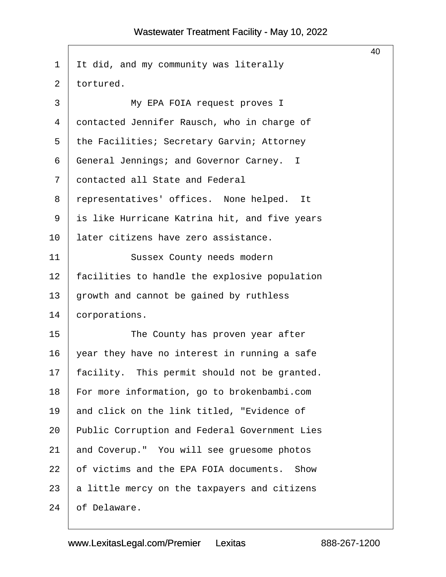<span id="page-40-0"></span>

|                |                                                | 40 |  |  |
|----------------|------------------------------------------------|----|--|--|
| 1              | It did, and my community was literally         |    |  |  |
| $\overline{2}$ | tortured.                                      |    |  |  |
| 3              | My EPA FOIA request proves I                   |    |  |  |
| 4              | contacted Jennifer Rausch, who in charge of    |    |  |  |
| 5              | the Facilities; Secretary Garvin; Attorney     |    |  |  |
| 6              | General Jennings; and Governor Carney. I       |    |  |  |
| 7              | contacted all State and Federal                |    |  |  |
| 8              | representatives' offices. None helped. It      |    |  |  |
| 9              | is like Hurricane Katrina hit, and five years  |    |  |  |
| 10             | later citizens have zero assistance.           |    |  |  |
| 11             | Sussex County needs modern                     |    |  |  |
| 12             | facilities to handle the explosive population  |    |  |  |
| 13             | growth and cannot be gained by ruthless        |    |  |  |
| 14             | corporations.                                  |    |  |  |
| 15             | The County has proven year after               |    |  |  |
| 16             | year they have no interest in running a safe   |    |  |  |
| 17             | facility. This permit should not be granted.   |    |  |  |
| 18             | For more information, go to brokenbambi.com    |    |  |  |
| 19             | and click on the link titled, "Evidence of     |    |  |  |
| 20             | Public Corruption and Federal Government Lies  |    |  |  |
| 21             | and Coverup." You will see gruesome photos     |    |  |  |
| 22             | of victims and the EPA FOIA documents.<br>Show |    |  |  |
| 23             | a little mercy on the taxpayers and citizens   |    |  |  |
| 24             | of Delaware.                                   |    |  |  |
|                |                                                |    |  |  |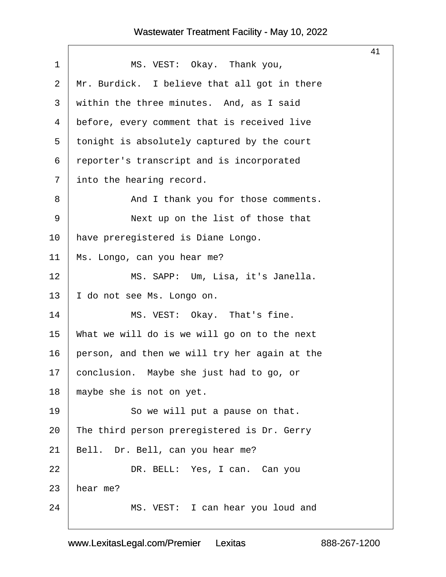$\Gamma$ 

<span id="page-41-0"></span>

|                |                                               | 41 |
|----------------|-----------------------------------------------|----|
| $\mathbf 1$    | MS. VEST: Okay. Thank you,                    |    |
| 2              | Mr. Burdick. I believe that all got in there  |    |
| 3              | within the three minutes. And, as I said      |    |
| $\overline{4}$ | before, every comment that is received live   |    |
| 5              | tonight is absolutely captured by the court   |    |
| 6              | reporter's transcript and is incorporated     |    |
| 7              | into the hearing record.                      |    |
| 8              | And I thank you for those comments.           |    |
| 9              | Next up on the list of those that             |    |
| 10             | have preregistered is Diane Longo.            |    |
| 11             | Ms. Longo, can you hear me?                   |    |
| 12             | MS. SAPP: Um, Lisa, it's Janella.             |    |
| 13             | I do not see Ms. Longo on.                    |    |
| 14             | MS. VEST: Okay. That's fine.                  |    |
| 15             | What we will do is we will go on to the next  |    |
| 16             | person, and then we will try her again at the |    |
| 17             | conclusion. Maybe she just had to go, or      |    |
| 18             | maybe she is not on yet.                      |    |
| 19             | So we will put a pause on that.               |    |
| 20             | The third person preregistered is Dr. Gerry   |    |
| 21             | Bell. Dr. Bell, can you hear me?              |    |
| 22             | DR. BELL: Yes, I can. Can you                 |    |
| 23             | hear me?                                      |    |
| 24             | MS. VEST: I can hear you loud and             |    |
|                |                                               |    |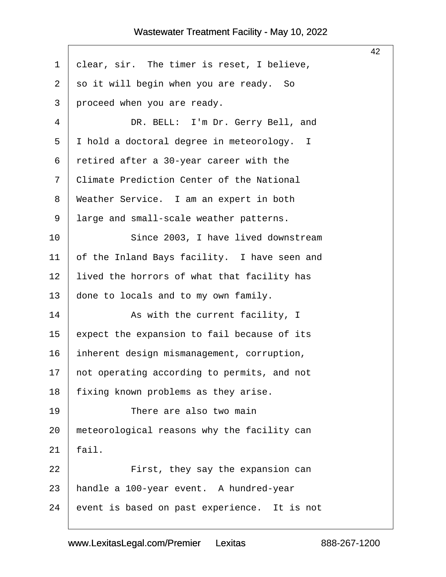<span id="page-42-0"></span>

|                |                                              | 42 |
|----------------|----------------------------------------------|----|
| $\mathbf{1}$   | clear, sir. The timer is reset, I believe,   |    |
| 2              | so it will begin when you are ready. So      |    |
| 3              | proceed when you are ready.                  |    |
| $\overline{4}$ | DR. BELL: I'm Dr. Gerry Bell, and            |    |
| 5              | I hold a doctoral degree in meteorology. I   |    |
| 6              | retired after a 30-year career with the      |    |
| 7              | Climate Prediction Center of the National    |    |
| 8              | Weather Service. I am an expert in both      |    |
| 9              | large and small-scale weather patterns.      |    |
| 10             | Since 2003, I have lived downstream          |    |
| 11             | of the Inland Bays facility. I have seen and |    |
| 12             | lived the horrors of what that facility has  |    |
| 13             | done to locals and to my own family.         |    |
| 14             | As with the current facility, I              |    |
| 15             | expect the expansion to fail because of its  |    |
| 16             | inherent design mismanagement, corruption,   |    |
| 17             | not operating according to permits, and not  |    |
| 18             | fixing known problems as they arise.         |    |
| 19             | There are also two main                      |    |
| 20             | meteorological reasons why the facility can  |    |
| 21             | fail.                                        |    |
| 22             | First, they say the expansion can            |    |
| 23             | handle a 100-year event. A hundred-year      |    |
| 24             | event is based on past experience. It is not |    |
|                |                                              |    |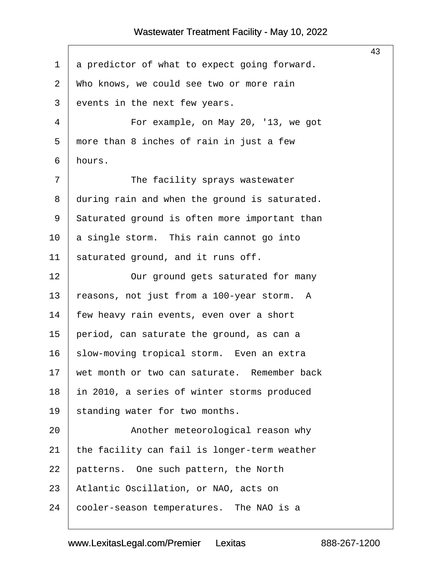<span id="page-43-0"></span>

|                |                                               | 43 |
|----------------|-----------------------------------------------|----|
| $\mathbf 1$    | a predictor of what to expect going forward.  |    |
| $\overline{2}$ | Who knows, we could see two or more rain      |    |
| 3              | events in the next few years.                 |    |
| $\overline{4}$ | For example, on May 20, '13, we got           |    |
| 5              | more than 8 inches of rain in just a few      |    |
| 6              | hours.                                        |    |
| 7              | The facility sprays wastewater                |    |
| 8              | during rain and when the ground is saturated. |    |
| 9              | Saturated ground is often more important than |    |
| 10             | a single storm. This rain cannot go into      |    |
| 11             | saturated ground, and it runs off.            |    |
| 12             | Our ground gets saturated for many            |    |
| 13             | reasons, not just from a 100-year storm. A    |    |
| 14             | few heavy rain events, even over a short      |    |
| 15             | period, can saturate the ground, as can a     |    |
| 16             | slow-moving tropical storm. Even an extra     |    |
| 17             | wet month or two can saturate. Remember back  |    |
| 18             | in 2010, a series of winter storms produced   |    |
| 19             | standing water for two months.                |    |
| 20             | Another meteorological reason why             |    |
| 21             | the facility can fail is longer-term weather  |    |
| 22             | patterns. One such pattern, the North         |    |
| 23             | Atlantic Oscillation, or NAO, acts on         |    |
| 24             | cooler-season temperatures. The NAO is a      |    |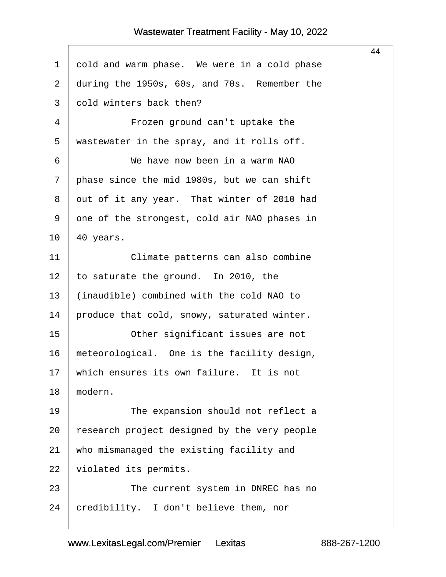<span id="page-44-0"></span>

|                |                                              | 44 |  |  |
|----------------|----------------------------------------------|----|--|--|
| $\mathbf 1$    | cold and warm phase. We were in a cold phase |    |  |  |
| $\overline{2}$ | during the 1950s, 60s, and 70s. Remember the |    |  |  |
| 3              | cold winters back then?                      |    |  |  |
| 4              | Frozen ground can't uptake the               |    |  |  |
| 5              | wastewater in the spray, and it rolls off.   |    |  |  |
| 6              | We have now been in a warm NAO               |    |  |  |
| 7              | phase since the mid 1980s, but we can shift  |    |  |  |
| 8              | out of it any year. That winter of 2010 had  |    |  |  |
| 9              | one of the strongest, cold air NAO phases in |    |  |  |
| 10             | 40 years.                                    |    |  |  |
| 11             | Climate patterns can also combine            |    |  |  |
| 12             | to saturate the ground. In 2010, the         |    |  |  |
| 13             | (inaudible) combined with the cold NAO to    |    |  |  |
| 14             | produce that cold, snowy, saturated winter.  |    |  |  |
| 15             | Other significant issues are not             |    |  |  |
| 16             | meteorological. One is the facility design,  |    |  |  |
| 17             | which ensures its own failure. It is not     |    |  |  |
| 18             | modern.                                      |    |  |  |
| 19             | The expansion should not reflect a           |    |  |  |
| 20             | research project designed by the very people |    |  |  |
| 21             | who mismanaged the existing facility and     |    |  |  |
| 22             | violated its permits.                        |    |  |  |
| 23             | The current system in DNREC has no           |    |  |  |
| 24             | credibility. I don't believe them, nor       |    |  |  |
|                |                                              |    |  |  |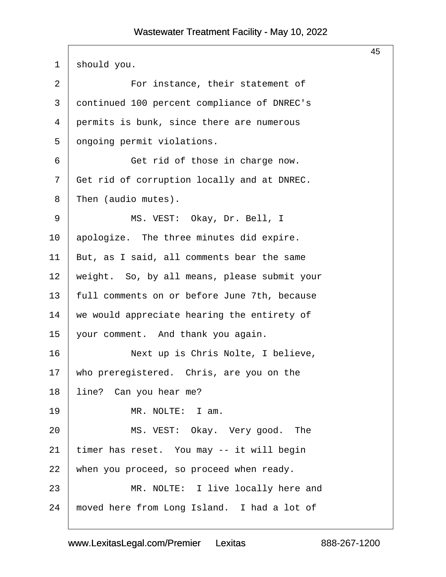<span id="page-45-0"></span>

|                |                                              | 45 |  |  |
|----------------|----------------------------------------------|----|--|--|
| $\mathbf 1$    | should you.                                  |    |  |  |
| $\overline{2}$ | For instance, their statement of             |    |  |  |
| 3              | continued 100 percent compliance of DNREC's  |    |  |  |
| 4              | permits is bunk, since there are numerous    |    |  |  |
| 5              | ongoing permit violations.                   |    |  |  |
| 6              | Get rid of those in charge now.              |    |  |  |
| 7              | Get rid of corruption locally and at DNREC.  |    |  |  |
| 8              | Then (audio mutes).                          |    |  |  |
| 9              | MS. VEST: Okay, Dr. Bell, I                  |    |  |  |
| 10             | apologize. The three minutes did expire.     |    |  |  |
| 11             | But, as I said, all comments bear the same   |    |  |  |
| 12             | weight. So, by all means, please submit your |    |  |  |
| 13             | full comments on or before June 7th, because |    |  |  |
| 14             | we would appreciate hearing the entirety of  |    |  |  |
| 15             | your comment. And thank you again.           |    |  |  |
| 16             | Next up is Chris Nolte, I believe,           |    |  |  |
| 17             | who preregistered. Chris, are you on the     |    |  |  |
| 18             | line? Can you hear me?                       |    |  |  |
| 19             | MR. NOLTE: I am.                             |    |  |  |
| 20             | MS. VEST: Okay. Very good. The               |    |  |  |
| 21             | timer has reset. You may -- it will begin    |    |  |  |
| 22             | when you proceed, so proceed when ready.     |    |  |  |
| 23             | MR. NOLTE: I live locally here and           |    |  |  |
| 24             | moved here from Long Island. I had a lot of  |    |  |  |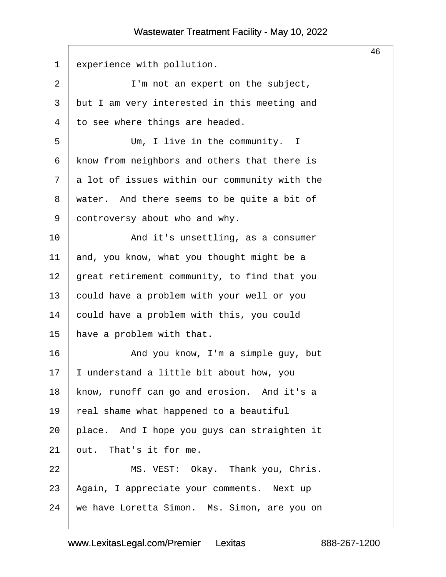<span id="page-46-0"></span>

| $\mathbf 1$    | experience with pollution.                    |  |  |  |
|----------------|-----------------------------------------------|--|--|--|
| $\overline{a}$ | I'm not an expert on the subject,             |  |  |  |
| 3              | but I am very interested in this meeting and  |  |  |  |
| $\overline{4}$ | to see where things are headed.               |  |  |  |
| 5              | Um, I live in the community. I                |  |  |  |
| 6              | know from neighbors and others that there is  |  |  |  |
| 7              | a lot of issues within our community with the |  |  |  |
| 8              | water. And there seems to be quite a bit of   |  |  |  |
| 9              | controversy about who and why.                |  |  |  |
| 10             | And it's unsettling, as a consumer            |  |  |  |
| 11             | and, you know, what you thought might be a    |  |  |  |
| 12             | great retirement community, to find that you  |  |  |  |
| 13             | could have a problem with your well or you    |  |  |  |
| 14             | could have a problem with this, you could     |  |  |  |
| 15             | have a problem with that.                     |  |  |  |
| 16             | And you know, I'm a simple guy, but           |  |  |  |
| 17             | I understand a little bit about how, you      |  |  |  |
| 18             | know, runoff can go and erosion. And it's a   |  |  |  |
| 19             | real shame what happened to a beautiful       |  |  |  |
| 20             | place. And I hope you guys can straighten it  |  |  |  |
| 21             | out. That's it for me.                        |  |  |  |
| 22             | MS. VEST: Okay. Thank you, Chris.             |  |  |  |
| 23             | Again, I appreciate your comments. Next up    |  |  |  |
| 24             | we have Loretta Simon. Ms. Simon, are you on  |  |  |  |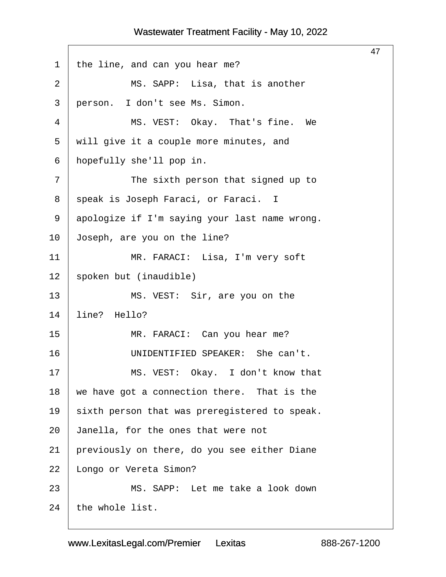<span id="page-47-0"></span>

|                |                                               | 47 |
|----------------|-----------------------------------------------|----|
| 1              | the line, and can you hear me?                |    |
| $\overline{2}$ | MS. SAPP: Lisa, that is another               |    |
| 3              | person. I don't see Ms. Simon.                |    |
| 4              | MS. VEST: Okay. That's fine. We               |    |
| 5              | will give it a couple more minutes, and       |    |
| 6              | hopefully she'll pop in.                      |    |
| 7              | The sixth person that signed up to            |    |
| 8              | speak is Joseph Faraci, or Faraci. I          |    |
| 9              | apologize if I'm saying your last name wrong. |    |
| 10             | Joseph, are you on the line?                  |    |
| 11             | MR. FARACI: Lisa, I'm very soft               |    |
| 12             | spoken but (inaudible)                        |    |
| 13             | MS. VEST: Sir, are you on the                 |    |
| 14             | line? Hello?                                  |    |
| 15             | MR. FARACI: Can you hear me?                  |    |
| 16             | UNIDENTIFIED SPEAKER: She can't.              |    |
| 17             | MS. VEST: Okay. I don't know that             |    |
| 18             | we have got a connection there. That is the   |    |
| 19             | sixth person that was preregistered to speak. |    |
| 20             | Janella, for the ones that were not           |    |
| 21             | previously on there, do you see either Diane  |    |
| 22             | Longo or Vereta Simon?                        |    |
| 23             | MS. SAPP: Let me take a look down             |    |
| 24             | the whole list.                               |    |
|                |                                               |    |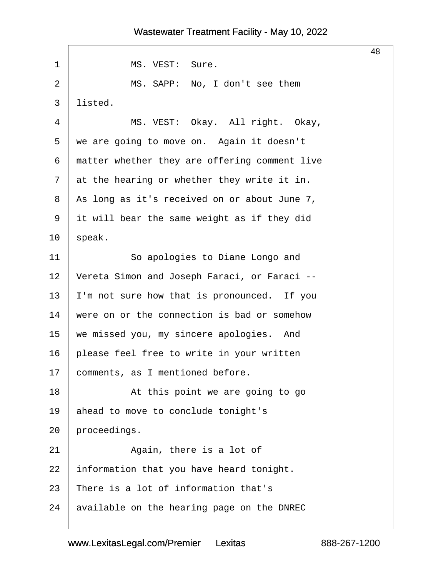# 48 1 | MS. VEST: Sure. 2 | MS. SAPP: No, I don't see them  $3$  | listed. 4 | MS. VEST: Okay. All right. Okay,  $5$  we are going to move on. Again it doesn't 6 | matter whether they are offering comment live  $7$  at the hearing or whether they write it in. 8 | As long as it's received on or about June 7,  $9$  it will bear the same weight as if they did  $10$  speak. 11 | So apologies to Diane Longo and 12 Vereta Simon and Joseph Faraci, or Faraci -- $13$  | I'm not sure how that is pronounced. If you  $14$   $\vert$  were on or the connection is bad or somehow 15 | we missed you, my sincere apologies. And  $16$  | please feel free to write in your written 17 | comments, as I mentioned before. 18 | Not this point we are going to go 19 ahead to move to conclude tonight's  $20$  | proceedings. 21 | **Again, there is a lot of**  $22$  information that you have heard tonight. 23 There is a lot of information that's

 $24$  available on the hearing page on the DNREC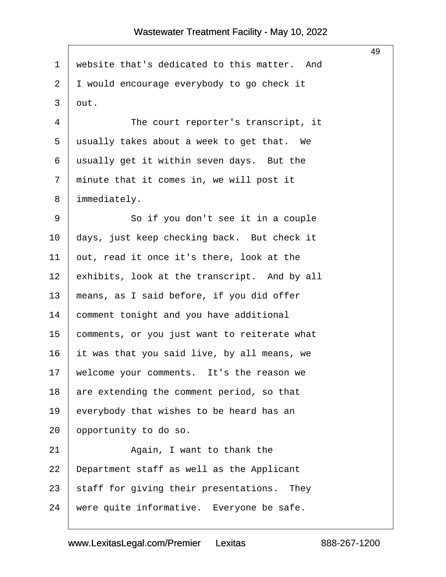|             |                                              | 49 |
|-------------|----------------------------------------------|----|
| $\mathbf 1$ | website that's dedicated to this matter. And |    |
| 2           | I would encourage everybody to go check it   |    |
| 3           | out.                                         |    |
| 4           | The court reporter's transcript, it          |    |
| 5           | usually takes about a week to get that. We   |    |
| 6           | usually get it within seven days. But the    |    |
| 7           | minute that it comes in, we will post it     |    |
| 8           | immediately.                                 |    |
| 9           | So if you don't see it in a couple           |    |
| 10          | days, just keep checking back. But check it  |    |
| 11          | out, read it once it's there, look at the    |    |
| 12          | exhibits, look at the transcript. And by all |    |
| 13          | means, as I said before, if you did offer    |    |
| 14          | comment tonight and you have additional      |    |
| 15          | comments, or you just want to reiterate what |    |
| 16          | it was that you said live, by all means, we  |    |
| 17          | welcome your comments. It's the reason we    |    |
| 18          | are extending the comment period, so that    |    |
| 19          | everybody that wishes to be heard has an     |    |
| 20          | opportunity to do so.                        |    |
| 21          | Again, I want to thank the                   |    |
| 22          | Department staff as well as the Applicant    |    |
| 23          | staff for giving their presentations. They   |    |
| 24          | were quite informative. Everyone be safe.    |    |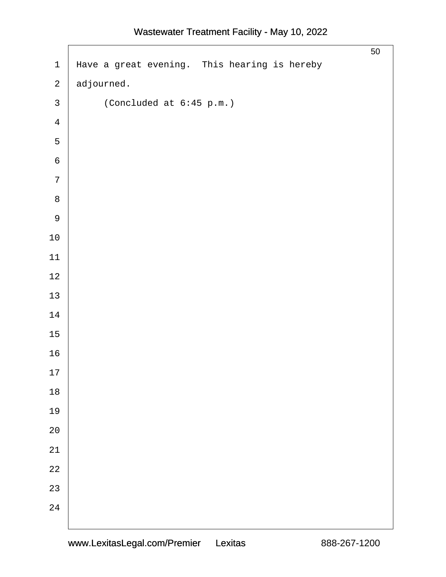| $\mathbf 1$    | Have a great evening. This hearing is hereby | 50 |
|----------------|----------------------------------------------|----|
| $\sqrt{2}$     | adjourned.                                   |    |
| $\mathbf{3}$   | (Concluded at 6:45 p.m.)                     |    |
| $\overline{4}$ |                                              |    |
| 5              |                                              |    |
| $\epsilon$     |                                              |    |
| $\overline{7}$ |                                              |    |
| $\,8\,$        |                                              |    |
| $\mathsf 9$    |                                              |    |
| $10\,$         |                                              |    |
| $11\,$         |                                              |    |
| $12\,$         |                                              |    |
| $13$           |                                              |    |
| $14\,$         |                                              |    |
| $15\,$         |                                              |    |
| 16             |                                              |    |
| $17\,$         |                                              |    |
| $18$           |                                              |    |
| 19             |                                              |    |
| $2\,0$         |                                              |    |
| 21             |                                              |    |
| $2\sqrt{2}$    |                                              |    |
| 23             |                                              |    |
| 24             |                                              |    |
|                |                                              |    |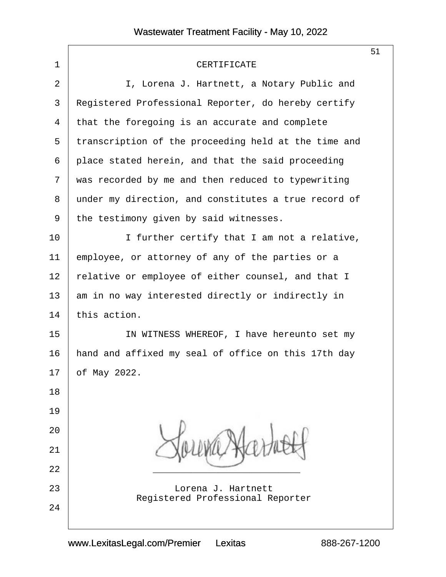|                |                                                        | 51 |
|----------------|--------------------------------------------------------|----|
| $\mathbf 1$    | CERTIFICATE                                            |    |
| $\overline{2}$ | I, Lorena J. Hartnett, a Notary Public and             |    |
| 3              | Registered Professional Reporter, do hereby certify    |    |
| 4              | that the foregoing is an accurate and complete         |    |
| 5              | transcription of the proceeding held at the time and   |    |
| 6              | place stated herein, and that the said proceeding      |    |
| 7              | was recorded by me and then reduced to typewriting     |    |
| 8              | under my direction, and constitutes a true record of   |    |
| 9              | the testimony given by said witnesses.                 |    |
| 10             | I further certify that I am not a relative,            |    |
| 11             | employee, or attorney of any of the parties or a       |    |
| 12             | relative or employee of either counsel, and that I     |    |
| 13             | am in no way interested directly or indirectly in      |    |
| 14             | this action.                                           |    |
| 15             | IN WITNESS WHEREOF, I have hereunto set my             |    |
| 16             | hand and affixed my seal of office on this 17th day    |    |
| 17             | of May 2022.                                           |    |
| 18             |                                                        |    |
| 19             |                                                        |    |
| 20             |                                                        |    |
| 21             |                                                        |    |
| 22             |                                                        |    |
| 23             | Lorena J. Hartnett<br>Registered Professional Reporter |    |
| 24             |                                                        |    |
|                |                                                        |    |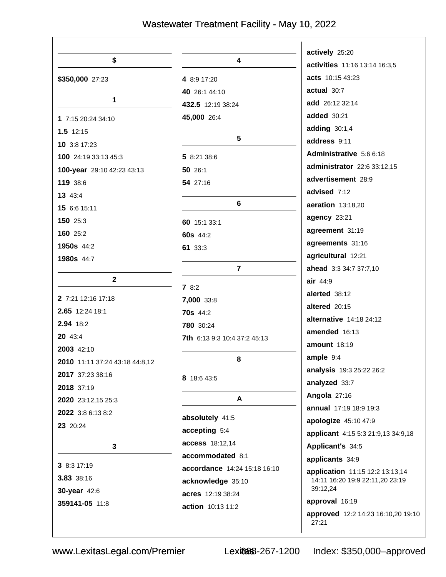|                                |                                                   | actively 25:20                                                     |
|--------------------------------|---------------------------------------------------|--------------------------------------------------------------------|
| \$                             | 4                                                 | activities 11:16 13:14 16:3,5                                      |
| \$350,000 27:23                | 4 8:9 17:20                                       | acts 10:15 43:23                                                   |
|                                | 40 26:1 44:10                                     | actual 30:7                                                        |
| 1                              | 432.5 12:19 38:24                                 | add 26:12 32:14                                                    |
| 1 7:15 20:24 34:10             | 45,000 26:4                                       | <b>added</b> 30:21                                                 |
| $1.5$ 12:15                    |                                                   | adding 30:1,4                                                      |
| 10 3:8 17:23                   | 5                                                 | address 9:11                                                       |
| 100 24:19 33:13 45:3           | 5 8:21 38:6                                       | Administrative 5:6 6:18                                            |
| 100-year 29:10 42:23 43:13     | 50 26:1                                           | administrator 22:6 33:12,15                                        |
| 119 38:6                       | 54 27:16                                          | advertisement 28:9                                                 |
| 13 43:4                        |                                                   | advised 7:12                                                       |
| 15 6:6 15:11                   | 6                                                 | aeration 13:18,20                                                  |
| 150 25:3                       | 60 15:1 33:1                                      | agency 23:21                                                       |
| 160 25:2                       | 60s 44:2                                          | agreement 31:19                                                    |
| 1950s 44:2                     | 61 33:3                                           | agreements 31:16                                                   |
| 1980s 44:7                     |                                                   | agricultural 12:21                                                 |
|                                | $\overline{7}$                                    | ahead 3:3 34:7 37:7,10                                             |
| $\mathbf{2}$                   | 78:2                                              | air 44:9                                                           |
| 2 7:21 12:16 17:18             | 7,000 33:8                                        | alerted 38:12                                                      |
| 2.65 12:24 18:1                | <b>70s</b> 44:2                                   | altered 20:15                                                      |
| 2.94 18:2                      | 780 30:24                                         | alternative 14:18 24:12                                            |
| 20 43:4                        | 7th 6:13 9:3 10:4 37:2 45:13                      | amended 16:13                                                      |
| 2003 42:10                     |                                                   | <b>amount</b> 18:19                                                |
| 2010 11:11 37:24 43:18 44:8,12 | 8                                                 | ample 9:4                                                          |
| 2017 37:23 38:16               | 8 18:6 43:5                                       | analysis 19:3 25:22 26:2                                           |
| 2018 37:19                     |                                                   | analyzed 33:7                                                      |
| 2020 23:12,15 25:3             | A                                                 | Angola 27:16                                                       |
| 2022 3:8 6:13 8:2              |                                                   | annual 17:19 18:9 19:3                                             |
| 23 20:24                       | absolutely 41:5                                   | apologize 45:10 47:9                                               |
|                                | accepting 5:4                                     | applicant 4:15 5:3 21:9,13 34:9,18                                 |
| 3                              | access 18:12,14                                   | Applicant's 34:5                                                   |
| 38:317:19                      | accommodated 8:1                                  | applicants 34:9                                                    |
| 3.83 38:16                     | accordance 14:24 15:18 16:10<br>acknowledge 35:10 | application 11:15 12:2 13:13,14<br>14:11 16:20 19:9 22:11,20 23:19 |
| 30-year 42:6                   | acres 12:19 38:24                                 | 39:12,24                                                           |
| 359141-05 11:8                 | action 10:13 11:2                                 | approval 16:19                                                     |
|                                |                                                   | approved 12:2 14:23 16:10,20 19:10<br>27:21                        |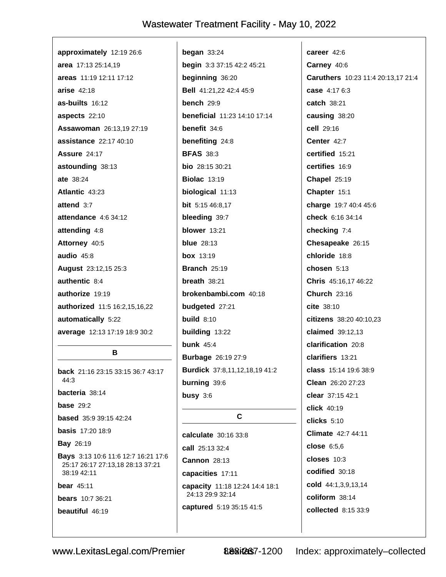| approximately 12:19 26:6      | began $33:24$                       |
|-------------------------------|-------------------------------------|
| area 17:13 25:14,19           | begin 3:3 37:15 42:2 45:21          |
| areas 11:19 12:11 17:12       | beginning 36:20                     |
| arise $42:18$                 | Bell 41:21,22 42:4 45:9             |
| as-builts 16:12               | bench $29:9$                        |
| aspects 22:10                 | <b>beneficial</b> 11:23 14:10 17:14 |
| Assawoman 26:13,19 27:19      | benefit $34:6$                      |
| assistance 22:17 40:10        | benefiting 24:8                     |
| <b>Assure 24:17</b>           | <b>BFAS 38:3</b>                    |
| astounding 38:13              | <b>bio</b> $28:1530:21$             |
| ate 38:24                     | <b>Biolac 13:19</b>                 |
| Atlantic 43:23                | biological 11:13                    |
| attend $3:7$                  | bit 5:15 46:8,17                    |
| attendance 4:6 34:12          | bleeding 39:7                       |
| attending 4:8                 | blower 13:21                        |
| Attorney 40:5                 | <b>blue</b> 28:13                   |
| audio $45:8$                  | <b>box</b> 13:19                    |
| August 23:12,15 25:3          | <b>Branch 25:19</b>                 |
| authentic 8:4                 | breath $38:21$                      |
| authorize 19:19               | brokenbambi.com 40:18               |
| authorized 11:5 16:2,15,16,22 | budgeted 27:21                      |
| automatically 5:22            | build $8:10$                        |
| average 12:13 17:19 18:9 30:2 | building 13:22                      |
|                               | bunk $45:4$                         |
| B                             | <b>Burbage</b> 26:19 27:9           |

 $\mathbf{I}$ 

back 21:16 23:15 33:15 36:7 43:17 44:3 bacteria 38:14 **base** 29:2 **based** 35:9 39:15 42:24 **basis** 17:20 18:9 **Bay 26:19** Bays 3:13 10:6 11:6 12:7 16:21 17:6 25:17 26:17 27:13,18 28:13 37:21 38:19 42:11 bear  $45:11$ **bears** 10:7 36:21 beautiful 46:19

 $\mathbf c$ calculate 30:16 33:8 call 25:13 32:4 Cannon 28:13 capacities 17:11 capacity 11:18 12:24 14:4 18:1 24:13 29:9 32:14 captured 5:19 35:15 41:5

Burdick 37:8,11,12,18,19 41:2

burning 39:6

busy  $3:6$ 

career 42:6 Carney 40:6 Caruthers 10:23 11:4 20:13,17 21:4 case 4:17 6:3 catch 38:21 causing 38:20 cell 29:16 Center 42:7 certified 15:21 certifies 16:9 Chapel 25:19 Chapter 15:1 charge 19:7 40:4 45:6 check 6:16 34:14 checking 7:4 Chesapeake 26:15 chloride 18:8 chosen 5:13 Chris 45:16,17 46:22 **Church 23:16** cite 38:10 citizens 38:20 40:10,23 claimed 39:12,13 clarification 20:8 clarifiers 13:21 class 15:14 19:6 38:9 Clean 26:20 27:23 clear 37:15 42:1 click 40:19  $clicks$  5:10 Climate 42:7 44:11 close  $6:5.6$ closes  $10:3$ codified 30:18 cold 44:1,3,9,13,14 coliform 38:14 collected 8:15 33:9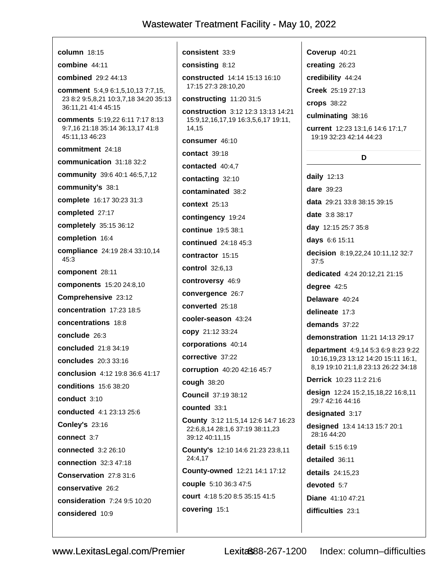| column $18:15$                                                                                           | <b>consistent</b> 33:9                                                             |
|----------------------------------------------------------------------------------------------------------|------------------------------------------------------------------------------------|
| combine $44:11$                                                                                          | consisting 8:12                                                                    |
| <b>combined</b> 29:2 44:13                                                                               | constructed 14:14 15:13 16:10<br>17:15 27:3 28:10,20                               |
| <b>comment</b> 5:4,9 6:1,5,10,13 7:7,15,<br>23 8:2 9:5,8,21 10:3,7,18 34:20 35:13<br>36:11,21 41:4 45:15 | constructing 11:20 31:5                                                            |
| comments 5:19,22 6:11 7:17 8:13<br>9:7,16 21:18 35:14 36:13,17 41:8<br>45:11,13 46:23                    | <b>construction</b> 3:12 12:3 13:13 1<br>15:9,12,16,17,19 16:3,5,6,17 19:<br>14,15 |
| commitment 24:18                                                                                         | consumer 46:10                                                                     |
| communication $31:1832:2$                                                                                | contact $39:18$                                                                    |
| community 39:6 40:1 46:5,7,12                                                                            | contacted $40:4,7$                                                                 |
| community's 38:1                                                                                         | contacting 32:10                                                                   |
| <b>complete</b> 16:17 30:23 31:3                                                                         | contaminated 38:2                                                                  |
| completed 27:17                                                                                          | context $25:13$                                                                    |
| completely 35:15 36:12                                                                                   | contingency 19:24                                                                  |
| completion 16:4                                                                                          | continue 19:5 38:1                                                                 |
| compliance 24:19 28:4 33:10,14                                                                           | continued 24:18 45:3                                                               |
| 45:3                                                                                                     | contractor 15:15                                                                   |
| component 28:11                                                                                          | control 32:6,13                                                                    |
| components 15:20 24:8,10                                                                                 | controversy 46:9                                                                   |
| Comprehensive 23:12                                                                                      | convergence 26:7                                                                   |
| concentration 17:23 18:5                                                                                 | converted 25:18                                                                    |
| concentrations 18:8                                                                                      | cooler-season 43:24                                                                |
| conclude 26:3                                                                                            | copy 21:12 33:24                                                                   |
| concluded 21:8 34:19                                                                                     | corporations 40:14                                                                 |
| <b>concludes</b> 20:3 33:16                                                                              | corrective 37:22                                                                   |
| conclusion 4:12 19:8 36:6 41:17                                                                          | corruption 40:20 42:16 45:7                                                        |
| <b>conditions</b> 15:6 38:20                                                                             | cough 38:20                                                                        |
| conduct $3:10$                                                                                           | <b>Council 37:19 38:12</b>                                                         |
| conducted 4:1 23:13 25:6                                                                                 | counted 33:1                                                                       |
| <b>Conley's 23:16</b>                                                                                    | County 3:12 11:5,14 12:6 14:7 1                                                    |
| connect 3:7                                                                                              | 22:6,8,14 28:1,6 37:19 38:11,23<br>39:12 40:11,15                                  |
| <b>connected</b> 3:2 26:10                                                                               | County's 12:10 14:6 21:23 23:8,<br>24:4,17                                         |
| connection 32:3 47:18                                                                                    | County-owned 12:21 14:1 17:1                                                       |
| Conservation 27:8 31:6                                                                                   | couple 5:10 36:3 47:5                                                              |
| conservative 26:2                                                                                        | <b>court</b> 4:18 5:20 8:5 35:15 41:5                                              |
| consideration 7:24 9:5 10:20                                                                             |                                                                                    |
| considered 10:9                                                                                          | covering 15:1                                                                      |
|                                                                                                          |                                                                                    |

Creek 25:19 27:13 **crops** 38:22 3 13:13 14:21 culminating 38:16 5,6,17 19:11, current 12:23 13:1,6 14:6 17:1,7 19:19 32:23 42:14 44:23 D daily 12:13 dare 39:23 data 29:21 33:8 38:15 39:15 date 3:8 38:17 day 12:15 25:7 35:8 days 6:6 15:11 decision 8:19,22,24 10:11,12 32:7 37:5 dedicated 4:24 20:12,21 21:15 degree 42:5 Delaware 40:24 delineate 17:3 demands 37:22 demonstration 11:21 14:13 29:17 department 4:9,14 5:3 6:9 8:23 9:22 10:16,19,23 13:12 14:20 15:11 16:1, 8,19 19:10 21:1,8 23:13 26:22 34:18 Derrick 10:23 11:2 21:6 design 12:24 15:2,15,18,22 16:8,11 29:7 42:16 44:16 designated 3:17 2:6 14:7 16:23 designed 13:4 14:13 15:7 20:1 28:16 44:20 detail 5:15 6:19 1:23 23:8.11 detailed 36:11 14:1 17:12 details 24:15,23 devoted 5:7 Diane 41:10 47:21 difficulties 23:1

Coverup 40:21 creating 26:23

credibility 44:24

 $\overline{\phantom{a}}$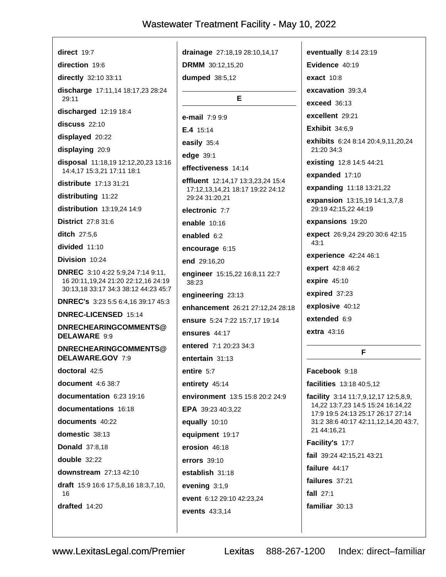| direct $19:7$                                                                     | drainage 27:18,19 28:10,14,17                                                | eventually 8:14 23:19                                                  |
|-----------------------------------------------------------------------------------|------------------------------------------------------------------------------|------------------------------------------------------------------------|
| direction 19:6                                                                    | <b>DRMM</b> 30:12,15,20                                                      | Evidence 40:19                                                         |
| directly 32:10 33:11                                                              | dumped 38:5,12                                                               | exact $10:8$                                                           |
| discharge 17:11,14 18:17,23 28:24<br>29:11                                        | Е                                                                            | excavation 39:3,4                                                      |
| discharged 12:19 18:4                                                             |                                                                              | exceed 36:13                                                           |
| discuss 22:10                                                                     | e-mail 7:9 9:9                                                               | excellent 29:21                                                        |
| displayed 20:22                                                                   | E.4 15:14                                                                    | <b>Exhibit 34:6,9</b>                                                  |
| displaying 20:9                                                                   | easily 35:4                                                                  | exhibits 6:24 8:14 20:4,9,11,20,24<br>21:20 34:3                       |
| disposal 11:18,19 12:12,20,23 13:16                                               | edge 39:1                                                                    | existing 12:8 14:5 44:21                                               |
| 14:4,17 15:3,21 17:11 18:1                                                        | effectiveness 14:14                                                          | expanded 17:10                                                         |
| distribute 17:13 31:21                                                            | <b>effluent</b> 12:14,17 13:3,23,24 15:4<br>17:12,13,14,21 18:17 19:22 24:12 | expanding 11:18 13:21,22                                               |
| distributing 11:22                                                                | 29:24 31:20,21                                                               | expansion 13:15,19 14:1,3,7,8                                          |
| distribution 13:19,24 14:9                                                        | electronic 7:7                                                               | 29:19 42:15,22 44:19                                                   |
| <b>District</b> 27:8 31:6                                                         | enable 10:16                                                                 | expansions 19:20                                                       |
| <b>ditch</b> 27:5,6                                                               | enabled 6:2                                                                  | expect 26:9,24 29:20 30:6 42:15                                        |
| divided 11:10                                                                     | encourage 6:15                                                               | 43:1                                                                   |
| Division 10:24                                                                    | end 29:16,20                                                                 | experience 42:24 46:1                                                  |
| <b>DNREC</b> 3:10 4:22 5:9,24 7:14 9:11,                                          | engineer 15:15,22 16:8,11 22:7                                               | expert 42:8 46:2                                                       |
| 16 20:11, 19, 24 21: 20 22: 12, 16 24: 19<br>30:13,18 33:17 34:3 38:12 44:23 45:7 | 38:23                                                                        | expire 45:10                                                           |
| <b>DNREC's</b> 3:23 5:5 6:4,16 39:17 45:3                                         | engineering 23:13                                                            | expired 37:23                                                          |
| DNREC-LICENSED 15:14                                                              | enhancement 26:21 27:12,24 28:18                                             | explosive 40:12                                                        |
| DNRECHEARINGCOMMENTS@                                                             | ensure 5:24 7:22 15:7,17 19:14                                               | extended 6:9                                                           |
| DELAWARE 9:9                                                                      | ensures 44:17                                                                | <b>extra</b> 43:16                                                     |
| DNRECHEARINGCOMMENTS@                                                             | entered 7:1 20:23 34:3                                                       | F                                                                      |
| DELAWARE.GOV 7:9                                                                  | entertain 31:13                                                              |                                                                        |
| doctoral 42:5                                                                     | entire 5:7                                                                   | Facebook 9:18                                                          |
| document 4:6 38:7                                                                 | entirety 45:14                                                               | facilities 13:18 40:5,12                                               |
| documentation 6:23 19:16                                                          | environment 13:5 15:8 20:2 24:9                                              | facility 3:14 11:7,9,12,17 12:5,8,9,                                   |
| documentations 16:18                                                              | EPA 39:23 40:3,22                                                            | 14,22 13:7,23 14:5 15:24 16:14,22<br>17:9 19:5 24:13 25:17 26:17 27:14 |
| documents 40:22                                                                   | equally 10:10                                                                | 31:2 38:6 40:17 42:11,12,14,20 43:7,                                   |
| domestic 38:13                                                                    | equipment 19:17                                                              | 21 44:16,21                                                            |
| <b>Donald</b> 37:8,18                                                             | erosion 46:18                                                                | Facility's 17:7                                                        |
| double 32:22                                                                      | errors 39:10                                                                 | fail 39:24 42:15,21 43:21                                              |
| downstream 27:13 42:10                                                            | establish 31:18                                                              | failure 44:17                                                          |
| <b>draft</b> 15:9 16:6 17:5,8,16 18:3,7,10,                                       | evening $3:1,9$                                                              | failures 37:21                                                         |
| 16                                                                                | event 6:12 29:10 42:23,24                                                    | fall $27:1$                                                            |
| drafted 14:20                                                                     | <b>events</b> 43:3,14                                                        | familiar 30:13                                                         |
|                                                                                   |                                                                              |                                                                        |

Lexitas 888-267-1200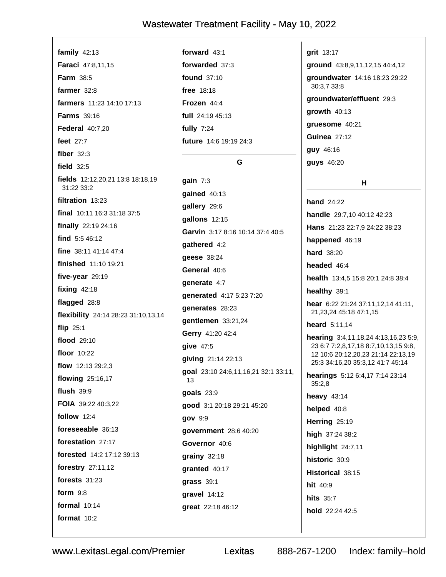family  $42:13$ Faraci 47:8,11,15 Farm 38:5 farmer  $32:8$ farmers 11:23 14:10 17:13 **Farms** 39:16 **Federal 40:7.20** feet 27:7 fiber  $32:3$ field  $32:5$ fields 12:12,20,21 13:8 18:18,19 31:22 33:2 filtration 13:23 final 10:11 16:3 31:18 37:5 finally 22:19 24:16 find  $5:546:12$ fine 38:11 41:14 47:4 finished 11:10 19:21 five-year 29:19 fixing  $42:18$ flagged 28:8 flexibility 24:14 28:23 31:10,13,14 flip  $25:1$ flood 29:10 floor 10:22 flow 12:13 29:2.3 flowing 25:16,17 flush  $39.9$ FOIA 39:22 40:3,22 follow  $12:4$ foreseeable 36:13 forestation 27:17 forested 14:2 17:12 39:13 forestry 27:11,12 forests  $31:23$ form  $9:8$ formal  $10:14$ format  $10:2$ 

forward  $43:1$ forwarded 37:3 found 37:10 free 18:18 Frozen 44.4 full 24:19 45:13 fully  $7:24$ future 14:6 19:19 24:3 G gain  $7:3$ gained 40:13 gallery 29:6 gallons 12:15 gathered 4:2 **geese** 38:24 General 40:6 qenerate 4:7

Garvin 3:17 8:16 10:14 37:4 40:5 generated 4:17 5:23 7:20 denerates 28:23 gentlemen 33:21,24 Gerry 41:20 42:4 **give 47:5** qiving 21:14 22:13 goal 23:10 24:6,11,16,21 32:1 33:11,  $13$ **goals** 23:9 good 3:1 20:18 29:21 45:20 gov 9:9 government 28:6 40:20 Governor 40:6 grainy 32:18 granted 40:17 grass 39:1 gravel 14:12

**grit** 13:17

ground 43:8,9,11,12,15 44:4,12

groundwater 14:16 18:23 29:22 30:3.7 33:8

н

aroundwater/effluent 29:3

growth 40:13

gruesome 40:21

**Guinea 27:12** 

**quy** 46:16

**guys** 46:20

**hand** 24:22 handle 29:7,10 40:12 42:23 Hans 21:23 22:7,9 24:22 38:23 happened 46:19 hard 38:20 headed 46:4 health 13:4,5 15:8 20:1 24:8 38:4 healthy 39:1 hear 6:22 21:24 37:11,12,14 41:11, 21, 23, 24 45: 18 47: 1, 15 heard 5:11,14 hearing 3:4,11,18,24 4:13,16,23 5:9, 23 6:7 7:2,8,17,18 8:7,10,13,15 9:8, 12 10:6 20:12.20.23 21:14 22:13.19 25:3 34:16,20 35:3,12 41:7 45:14 hearings 5:12 6:4,17 7:14 23:14  $35:2,8$ heavy  $43:14$ helped 40:8 Herring 25:19 high 37:24 38:2 highlight 24:7,11 historic 30:9 Historical 38:15 hit 40:9 **hits** 35:7 hold 22:24 42:5

www.LexitasLegal.com/Premier

Lexitas

great 22:18 46:12

888-267-1200

Index: family-hold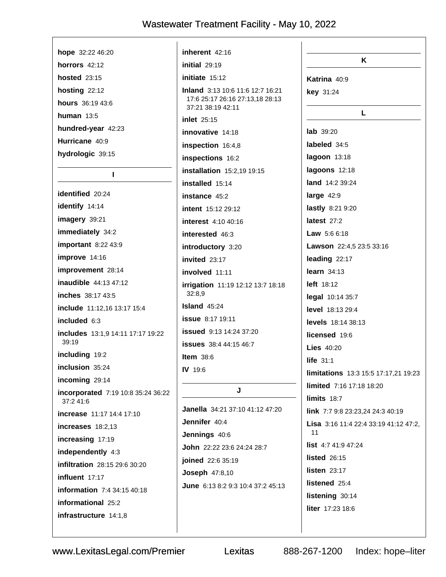| hope $32:2246:20$                               | inherent 42:16                                                             | K                                     |
|-------------------------------------------------|----------------------------------------------------------------------------|---------------------------------------|
| horrors 42:12                                   | initial 29:19                                                              |                                       |
| <b>hosted</b> 23:15                             | initiate 15:12                                                             | Katrina 40:9                          |
| hosting $22:12$                                 | <b>Inland</b> 3:13 10:6 11:6 12:7 16:21<br>17:6 25:17 26:16 27:13,18 28:13 | key 31:24                             |
| hours 36:19 43:6                                | 37:21 38:19 42:11                                                          | L                                     |
| human $13:5$                                    | inlet 25:15                                                                |                                       |
| hundred-year 42:23                              | innovative 14:18                                                           | lab 39:20                             |
| Hurricane 40:9                                  | inspection 16:4,8                                                          | labeled 34:5                          |
| hydrologic 39:15                                | inspections 16:2                                                           | lagoon 13:18                          |
| L                                               | installation 15:2,19 19:15                                                 | lagoons 12:18                         |
|                                                 | installed 15:14                                                            | land 14:2 39:24                       |
| identified 20:24                                | instance 45:2                                                              | large $42:9$                          |
| identify 14:14                                  | <b>intent</b> 15:12 29:12                                                  | lastly 8:21 9:20                      |
| imagery 39:21                                   | <b>interest</b> 4:10 40:16                                                 | latest $27:2$                         |
| immediately 34:2                                | interested 46:3                                                            | <b>Law</b> $5:66:18$                  |
| important 8:22 43:9                             | introductory 3:20                                                          | Lawson 22:4,5 23:5 33:16              |
| improve 14:16                                   | invited $23:17$                                                            | leading 22:17                         |
| improvement 28:14                               | involved 11:11                                                             | learn $34:13$                         |
| <b>inaudible</b> 44:13 47:12                    | irrigation 11:19 12:12 13:7 18:18                                          | <b>left</b> 18:12                     |
| inches 38:17 43:5                               | 32:8,9                                                                     | legal 10:14 35:7                      |
| include 11:12,16 13:17 15:4                     | <b>Island</b> 45:24                                                        | level 18:13 29:4                      |
| included 6:3                                    | <b>issue</b> 8:17 19:11                                                    | levels 18:14 38:13                    |
| includes 13:1,9 14:11 17:17 19:22               | issued 9:13 14:24 37:20                                                    | licensed 19:6                         |
| 39:19                                           | <b>issues</b> 38:4 44:15 46:7                                              | <b>Lies</b> 40:20                     |
| including 19:2                                  | <b>Item</b> $38:6$                                                         | life $31:1$                           |
| inclusion 35:24                                 | <b>IV</b> 19:6                                                             | limitations 13:3 15:5 17:17,21 19:23  |
| incoming 29:14                                  | J                                                                          | limited 7:16 17:18 18:20              |
| incorporated 7:19 10:8 35:24 36:22<br>37:2 41:6 |                                                                            | limits 18:7                           |
| increase 11:17 14:4 17:10                       | Janella 34:21 37:10 41:12 47:20                                            | link 7:7 9:8 23:23,24 24:3 40:19      |
| increases 18:2,13                               | Jennifer 40:4                                                              | Lisa 3:16 11:4 22:4 33:19 41:12 47:2, |
| increasing 17:19                                | Jennings 40:6                                                              | 11                                    |
| independently 4:3                               | John 22:22 23:6 24:24 28:7                                                 | list 4:7 41:9 47:24                   |
| infiltration 28:15 29:6 30:20                   | joined 22:6 35:19                                                          | <b>listed</b> 26:15                   |
| influent 17:17                                  | <b>Joseph 47:8,10</b>                                                      | listen $23:17$                        |
| information 7:4 34:15 40:18                     | June 6:13 8:2 9:3 10:4 37:2 45:13                                          | listened 25:4                         |
| informational 25:2                              |                                                                            | listening 30:14                       |
| infrastructure 14:1,8                           |                                                                            | liter 17:23 18:6                      |
|                                                 |                                                                            |                                       |
|                                                 |                                                                            |                                       |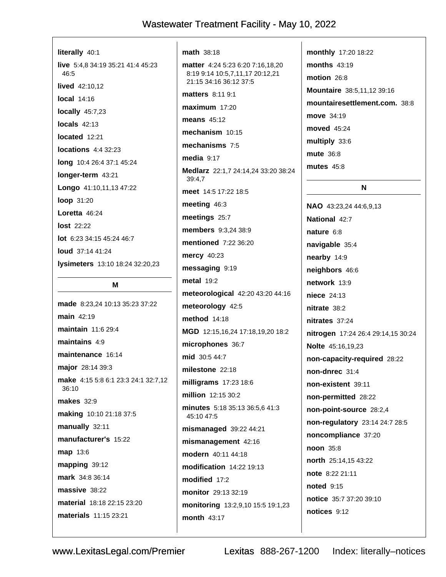| literally 40:1                            |
|-------------------------------------------|
| live 5:4,8 34:19 35:21 41:4 45:23<br>46:5 |
| <b>lived</b> $42:10,12$                   |
| $local$ 14:16                             |
| locally $45:7,23$                         |
| $locals$ 42:13                            |
| located 12:21                             |
| $locations$ 4:4 32:23                     |
| <b>long</b> 10:4 26:4 37:1 45:24          |
| longer-term 43:21                         |
| Longo 41:10,11,13 47:22                   |
| <b>loop</b> 31:20                         |
| Loretta $46:24$                           |
| <b>lost</b> 22:22                         |
| $lot$ 6:23 34:15 45:24 46:7               |
| <b>loud</b> $37:1441:24$                  |
| <b>lysimeters</b> 13:10 18:24 32:20,23    |

#### M

made 8:23,24 10:13 35:23 37:22 main 42:19 maintain 11:6 29:4 maintains  $4:9$ maintenance 16:14 major 28:14 39:3 make 4:15 5:8 6:1 23:3 24:1 32:7,12 36:10 **makes** 32:9 making 10:10 21:18 37:5 manually 32:11 manufacturer's 15:22 map 13:6 mapping 39:12 mark 34:8 36:14 massive 38:22 material 18:18 22:15 23:20 materials 11:15 23:21

math 38:18 matter 4:24 5:23 6:20 7:16,18,20 8:19 9:14 10:5.7.11.17 20:12.21 21:15 34:16 36:12 37:5 matters 8:11 9:1 maximum 17:20 means  $45:12$ mechanism 10:15 mechanisms 7:5 media  $9:17$ Medlarz 22:1,7 24:14,24 33:20 38:24 39:4.7 meet 14:5 17:22 18:5 meeting 46:3 meetings 25:7 members 9:3.24 38:9 **mentioned** 7:22 36:20 mercy 40:23 messaging 9:19 metal 19:2 meteorological 42:20 43:20 44:16 meteorology 42:5 **method** 14:18 MGD 12:15,16,24 17:18,19,20 18:2 microphones 36:7 mid 30:5 44:7 milestone 22:18 milligrams 17:23 18:6 million 12:15 30:2 minutes 5:18 35:13 36:5.6 41:3 45:10 47:5 mismanaged 39:22 44:21 mismanagement 42:16 modern 40:11 44:18 modification 14:22 19:13 modified 17:2 monitor 29:13 32:19 monitoring 13:2,9,10 15:5 19:1,23 month 43:17

monthly 17:20 18:22 months 43:19 motion 26:8 **Mountaire** 38:5.11.12 39:16 mountairesettlement.com. 38:8 move 34:19 moved 45:24 multiply 33:6 mute 36:8 **mutes** 45:8 N NAO 43:23,24 44:6,9,13 National 42:7

nature 6:8 navigable 35:4 nearby 14:9 neighbors 46:6 network 13:9 niece 24:13 nitrate 38:2 nitrates 37:24 nitrogen 17:24 26:4 29:14,15 30:24 Nolte 45:16,19,23 non-capacity-required 28:22 non-dnrec 31:4 non-existent 39:11 non-permitted 28:22 non-point-source 28:2,4 non-regulatory 23:14 24:7 28:5 noncompliance 37:20 noon 35:8 north 25:14,15 43:22 note 8:22 21:11 **noted** 9:15 notice 35:7 37:20 39:10 notices 9:12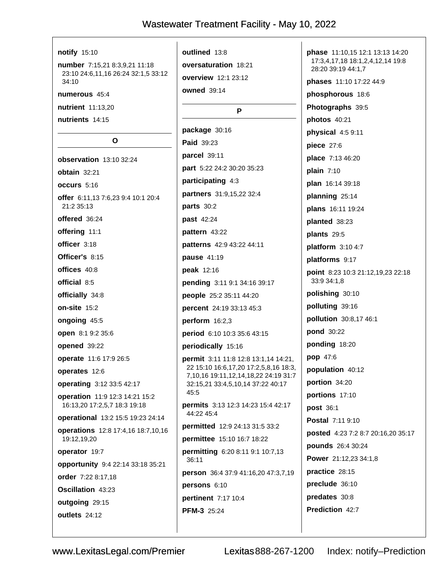#### notify 15:10 number 7:15,21 8:3,9,21 11:18 23:10 24:6,11,16 26:24 32:1,5 33:12 34:10 numerous 45:4 nutrient 11:13,20 nutrients 14:15  $\Omega$ observation 13:10 32:24 obtain 32:21 occurs 5:16 offer 6:11.13 7:6.23 9:4 10:1 20:4 21:2 35:13 offered 36:24 offering 11:1 officer 3:18 Officer's 8:15 offices 40:8 official 8:5 officially 34:8 on-site 15:2 ongoing 45:5 open 8:1 9:2 35:6 opened 39:22 operate 11:6 17:9 26:5 operates 12:6 operating 3:12 33:5 42:17 operation 11:9 12:3 14:21 15:2

45:5 16:13,20 17:2,5,7 18:3 19:18 operational 13:2 15:5 19:23 24:14 operations 12:8 17:4,16 18:7,10,16 19:12,19,20 operator 19:7 opportunity 9:4 22:14 33:18 35:21 order 7:22 8:17,18 **Oscillation 43:23** outgoing 29:15

outlined 13:8 oversaturation 18:21 overview 12:1 23:12 owned 39:14

P

package 30:16 Paid 39:23 parcel 39:11 part 5:22 24:2 30:20 35:23 participating 4:3 partners 31:9,15,22 32:4 parts  $30:2$ past 42:24 pattern 43:22 patterns 42:9 43:22 44:11 pause 41:19 **peak** 12:16 pending 3:11 9:1 34:16 39:17 people 25:2 35:11 44:20 **percent** 24:19 33:13 45:3 perform  $16:2,3$ period 6:10 10:3 35:6 43:15 periodically 15:16 permit 3:11 11:8 12:8 13:1,14 14:21, 22 15:10 16:6,17,20 17:2,5,8,16 18:3, 7,10,16 19:11,12,14,18,22 24:19 31:7 32:15,21 33:4,5,10,14 37:22 40:17 permits 3:13 12:3 14:23 15:4 42:17 44:22 45:4 permitted 12:9 24:13 31:5 33:2 permittee 15:10 16:7 18:22 permitting 6:20 8:11 9:1 10:7,13 36:11 person 36:4 37:9 41:16,20 47:3,7,19 persons 6:10 **pertinent** 7:17 10:4 PFM-3 25:24

phase 11:10,15 12:1 13:13 14:20 17:3,4,17,18 18:1,2,4,12,14 19:8 28:20 39:19 44:1,7 **phases** 11:10 17:22 44:9 phosphorous 18:6 Photographs 39:5 photos 40:21 physical 4:5 9:11 piece 27:6 place 7:13 46:20 plain  $7:10$ plan 16:14 39:18 planning 25:14 plans 16:11 19:24 planted 38:23 plants 29:5 platform 3:10 4:7 platforms 9:17 point 8:23 10:3 21:12,19,23 22:18 33:9 34:1,8 polishing 30:10 polluting 39:16 pollution 30:8,17 46:1 pond 30:22 ponding 18:20 pop 47:6 population 40:12 portion 34:20 portions 17:10 post 36:1 Postal 7:11 9:10 posted 4:23 7:2 8:7 20:16,20 35:17 pounds 26:4 30:24 Power 21:12,23 34:1,8 practice 28:15 preclude 36:10 predates 30:8 Prediction 42:7

outlets 24:12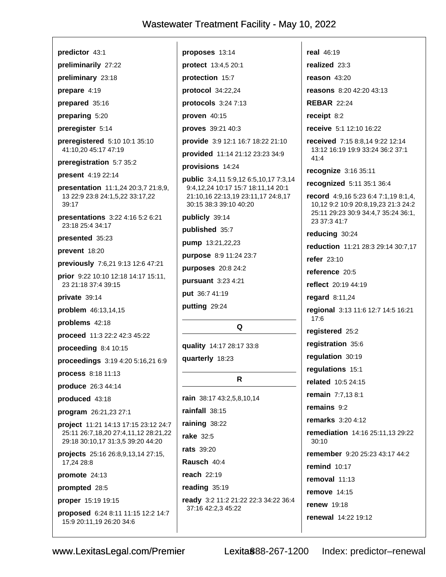proposes 13:14

predictor 43:1

preliminarily 27:22 preliminary 23:18

prepare 4:19

prepared 35:16

preparing 5:20

preregister 5:14

preregistered 5:10 10:1 35:10 41:10.20 45:17 47:19

preregistration 5:7 35:2

present 4:19 22:14

presentation 11:1,24 20:3,7 21:8,9, 13 22:9 23:8 24:1,5,22 33:17,22 39:17

presentations 3:22 4:16 5:2 6:21 23:18 25:4 34:17

presented 35:23

prevent 18:20

previously 7:6,21 9:13 12:6 47:21

prior 9:22 10:10 12:18 14:17 15:11, 23 21:18 37:4 39:15

private 39:14

problem 46:13,14,15

problems 42:18

proceed 11:3 22:2 42:3 45:22

proceeding 8:4 10:15

proceedings 3:19 4:20 5:16,21 6:9

process 8:18 11:13

produce 26:3 44:14

produced 43:18

program 26:21,23 27:1

project 11:21 14:13 17:15 23:12 24:7 25:11 26:7,18,20 27:4,11,12 28:21,22 29:18 30:10,17 31:3,5 39:20 44:20

projects 25:16 26:8,9,13,14 27:15, 17,24 28:8

promote 24:13

prompted 28:5

proper 15:19 19:15

proposed 6:24 8:11 11:15 12:2 14:7 15:9 20:11,19 26:20 34:6

protect 13:4,5 20:1 protection 15:7 protocol 34:22,24 protocols 3:24 7:13 proven 40:15 proves 39:21 40:3 provide 3:9 12:1 16:7 18:22 21:10 provided 11:14 21:12 23:23 34:9 provisions 14:24 public 3:4,11 5:9,12 6:5,10,17 7:3,14 9:4,12,24 10:17 15:7 18:11,14 20:1 21:10,16 22:13,19 23:11,17 24:8,17 30:15 38:3 39:10 40:20 publicly 39:14 published 35:7 pump 13:21,22,23 purpose 8:9 11:24 23:7

purposes 20:8 24:2

pursuant 3:23 4:21

put 36:7 41:19

putting 29:24

#### Q

quality 14:17 28:17 33:8

quarterly 18:23

#### R

rain 38:17 43:2.5.8.10.14 rainfall 38:15 raining 38:22 rake 32:5 rats 39:20 Rausch 40:4 **reach** 22:19 reading 35:19 ready 3:2 11:2 21:22 22:3 34:22 36:4 37:16 42:2,3 45:22

real 46:19 realized 23:3

reason  $43:20$ 

reasons 8:20 42:20 43:13

**REBAR 22:24** 

receipt 8:2

receive 5:1 12:10 16:22

received 7:15 8:8,14 9:22 12:14 13:12 16:19 19:9 33:24 36:2 37:1  $41:4$ 

recognize 3:16 35:11

recognized 5:11 35:1 36:4

record 4:9,16 5:23 6:4 7:1,19 8:1,4, 10,12 9:2 10:9 20:8,19,23 21:3 24:2 25:11 29:23 30:9 34:4,7 35:24 36:1, 23 37:3 41:7

reducing 30:24

reduction 11:21 28:3 29:14 30:7,17

refer 23:10

reference 20:5

reflect 20:19 44:19

regard 8:11,24

regional 3:13 11:6 12:7 14:5 16:21  $17.6$ 

registered 25:2

registration 35:6

regulation 30:19

requlations 15:1

related 10:5 24:15

**remain** 7:7.13 8:1

remains 9:2

**remarks** 3:20 4:12

remediation 14:16 25:11,13 29:22  $30.10$ 

remember 9:20 25:23 43:17 44:2

remind 10:17

removal  $11:13$ 

**remove** 14:15

**renew** 19:18

renewal 14:22 19:12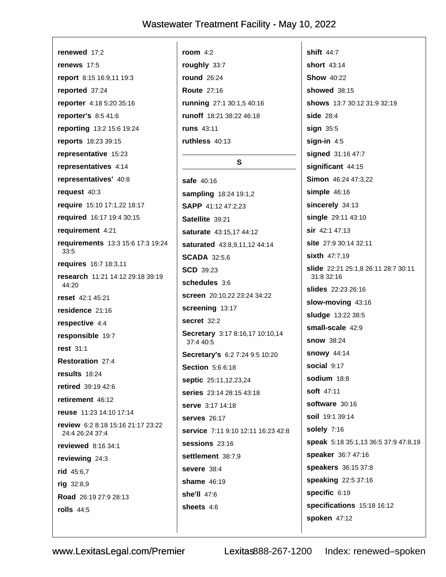renewed 17:2 renews 17:5 report 8:15 16:9,11 19:3 reported 37:24 reporter 4:18 5:20 35:16 reporter's 8:5 41:6 reporting 13:2 15:6 19:24 reports 18:23 39:15 representative 15:23 representatives 4:14 representatives' 40:8 request 40:3 require 15:10 17:1,22 18:17 required 16:17 19:4 30:15 requirement 4:21 requirements 13:3 15:6 17:3 19:24  $33:5$ requires 16:7 18:3,11 research 11:21 14:12 29:18 39:19 44:20 reset 42:1 45:21 residence 21:16 respective 4:4 responsible 19:7 rest 31:1 Restoration 27:4 results 18:24 retired 39:19 42:6 retirement 46:12 reuse 11:23 14:10 17:14 review 6:2 8:18 15:16 21:17 23:22 24:4 26:24 37:4 reviewed 8:16 34:1 reviewing 24:3 rid 45:6,7 rig 32:8,9 Road 26:19 27:9 28:13 rolls  $44:5$ 

room  $4:2$ roughly 33:7 round 26:24 **Route 27:16** running 27:1 30:1,5 40:16 runoff 18:21 38:22 46:18 runs 43:11 ruthless 40:13  $\mathbf{s}$ safe 40:16 sampling 18:24 19:1,2 SAPP 41:12 47:2.23 Satellite 39:21 saturate 43:15,17 44:12 saturated 43:8,9,11,12 44:14 **SCADA 32:5.6 SCD** 39:23 schedules 3:6 screen 20:10,22 23:24 34:22 screening 13:17 secret 32:2 Secretary 3:17 8:16,17 10:10,14 37:4 40:5 Secretary's 6:2 7:24 9:5 10:20 Section 5:6 6:18 septic 25:11,12,23,24 series 23:14 28:15 43:18 serve 3:17 14:18 **serves** 26:17 service 7:11 9:10 12:11 16:23 42:8  $s$ essions  $23:16$ settlement 38:7,9 severe 38:4 shame 46:19 she'll 47:6 sheets 4:6

shift  $44:7$ short 43:14 **Show 40:22 showed** 38:15 shows 13:7 30:12 31:9 32:19 side 28:4 sign  $35:5$ sign-in  $4:5$ signed 31:16 47:7 significant 44:15 Simon 46:24 47:3,22 simple  $46:16$ sincerely 34:13 single 29:11 43:10 sir 42:1 47:13 site 27:9 30:14 32:11 sixth 47:7,19 slide 22:21 25:1,8 26:11 28:7 30:11 31:8 32:16 slides 22:23 26:16 slow-moving 43:16 sludge 13:22 38:5 small-scale 42:9 **snow** 38:24 **snowy** 44:14 social 9:17 sodium 18:8 soft  $47.11$ software 30:16 soil 19:1 39:14 solely 7:16 speak 5:18 35:1,13 36:5 37:9 47:8,19 speaker 36:7 47:16 speakers 36:15 37:8 speaking 22:5 37:16 specific 6:19 specifications 15:18 16:12 spoken 47:12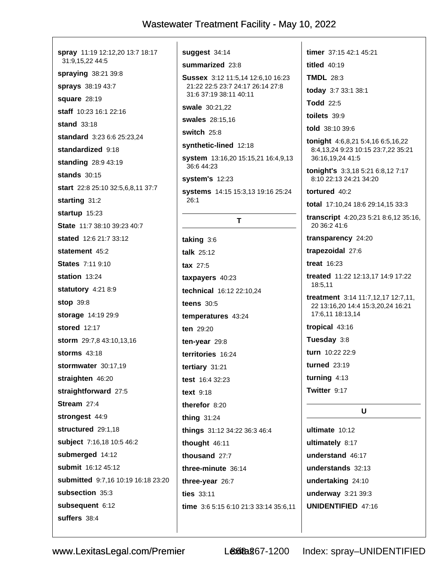spray 11:19 12:12,20 13:7 18:17 31:9,15,22 44:5 spraying 38:21 39:8 sprays 38:19 43:7 square 28:19 staff 10:23 16:1 22:16 stand 33:18 standard 3:23 6:6 25:23.24 standardized 9:18 standing 28:9 43:19 **stands** 30:15 start 22:8 25:10 32:5,6,8,11 37:7 starting 31:2 startup 15:23 State 11:7 38:10 39:23 40:7 stated 12:6 21:7 33:12 statement 45:2 **States 7:11 9:10** station 13:24 statutory 4:21 8:9 **stop 39:8** storage 14:19 29:9 stored 12:17 storm 29:7,8 43:10,13,16 storms 43:18 stormwater 30:17.19 straighten 46:20 straightforward 27:5 Stream 27:4 strongest 44:9 structured 29:1.18 subject 7:16,18 10:5 46:2 submerged 14:12 submit 16:12 45:12 submitted 9:7,16 10:19 16:18 23:20 subsection 35:3 subsequent 6:12 suffers 38:4

suggest 34:14

summarized 23:8

Sussex 3:12 11:5,14 12:6,10 16:23 21:22 22:5 23:7 24:17 26:14 27:8 31:6 37:19 38:11 40:11

swale 30:21,22

**swales** 28:15,16

switch 25:8

synthetic-lined 12:18

system 13:16,20 15:15,21 16:4,9,13 36:6 44:23

**system's** 12:23

systems 14:15 15:3,13 19:16 25:24 26:1

T

taking  $3:6$ talk 25:12 tax 27:5 taxpayers 40:23 technical 16:12 22:10,24 teens  $30:5$ temperatures 43:24 ten 29:20 ten-vear  $29:8$ territories 16:24 tertiary 31:21 test  $16.432.23$ text 9:18 therefor 8:20 thing  $31:24$ things 31:12 34:22 36:3 46:4 thought  $46:11$ thousand 27:7 three-minute 36:14 three-year 26:7 ties 33:11 time 3:6 5:15 6:10 21:3 33:14 35:6,11 timer 37:15 42:1 45:21 titled 40:19 **TMDL 28:3** today 3:7 33:1 38:1 **Todd** 22:5 toilets  $39:9$ told 38:10 39:6 tonight 4:6,8,21 5:4,16 6:5,16,22 8:4,13,24 9:23 10:15 23:7,22 35:21 36:16,19,24 41:5 tonight's 3:3,18 5:21 6:8,12 7:17 8:10 22:13 24:21 34:20 tortured 40.2 total 17:10,24 18:6 29:14,15 33:3 transcript 4:20,23 5:21 8:6,12 35:16, 20 36:2 41:6 transparency 24:20 trapezoidal 27:6 **treat** 16:23 treated 11:22 12:13,17 14:9 17:22 18:5,11 treatment 3:14 11:7,12,17 12:7,11, 22 13:16.20 14:4 15:3.20.24 16:21 17:6.11 18:13.14 tropical 43:16 Tuesday 3:8 turn 10:22 22:9 turned 23:19 turning  $4:13$ Twitter 9:17 U ultimate 10:12 ultimately 8:17 understand 46:17

understands 32:13 undertaking 24:10 underway 3:21 39:3 **UNIDENTIFIED 47:16**